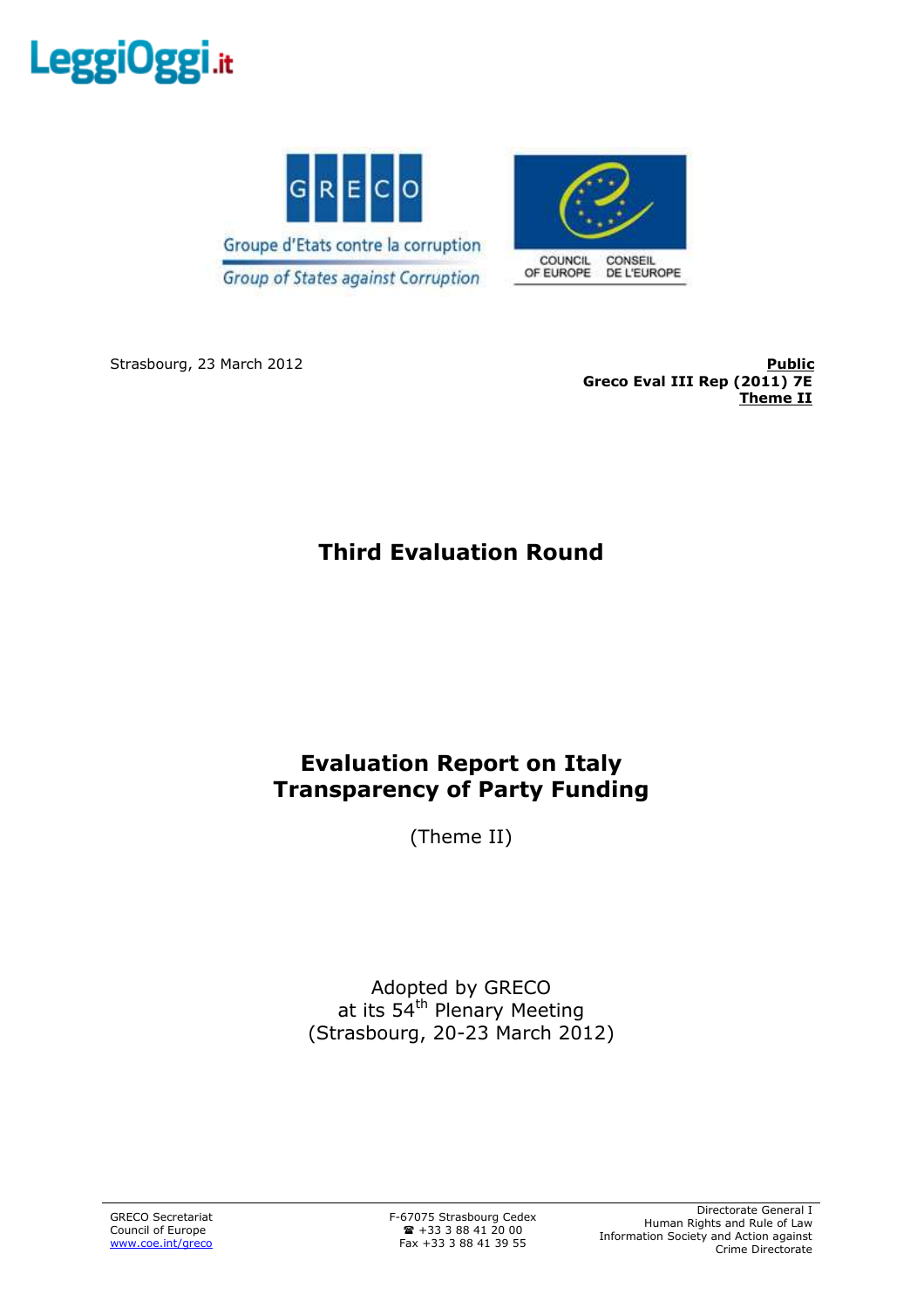



Strasbourg, 23 March 2012 **Public Greco Eval III Rep (2011) 7E Theme II**

# **Third Evaluation Round**

# **Evaluation Report on Italy Transparency of Party Funding**

(Theme II)

Adopted by GRECO at its  $54<sup>th</sup>$  Plenary Meeting (Strasbourg, 20-23 March 2012)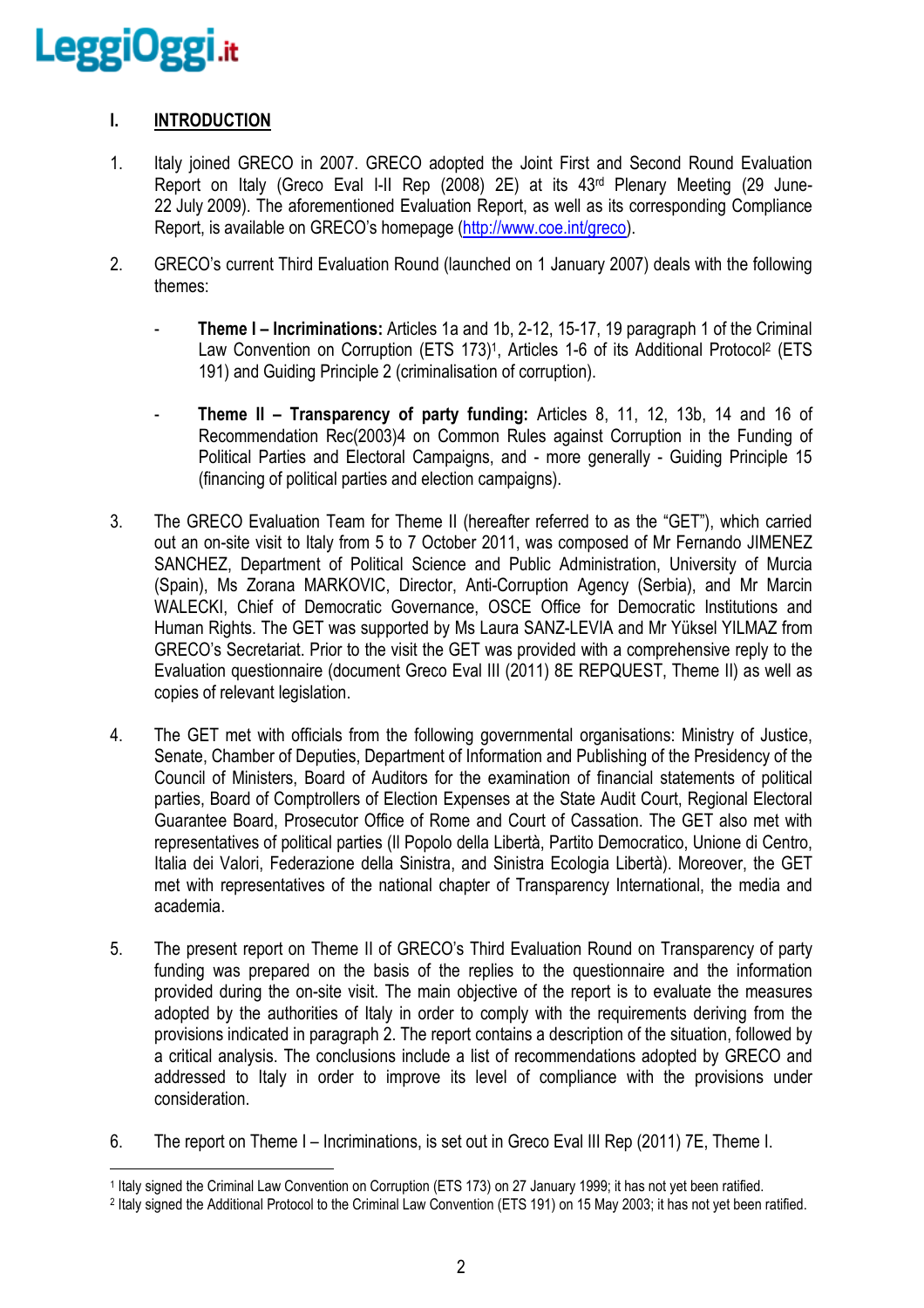# **I. INTRODUCTION**

- 1. Italy joined GRECO in 2007. GRECO adopted the Joint First and Second Round Evaluation Report on Italy (Greco Eval I-II Rep (2008) 2E) at its 43rd Plenary Meeting (29 June-22 July 2009). The aforementioned Evaluation Report, as well as its corresponding Compliance Report, is available on GRECO's homepage (http://www.coe.int/greco).
- 2. GRECO's current Third Evaluation Round (launched on 1 January 2007) deals with the following themes:
	- **Theme I Incriminations:** Articles 1a and 1b, 2-12, 15-17, 19 paragraph 1 of the Criminal Law Convention on Corruption (ETS 173)<sup>1</sup>, Articles 1-6 of its Additional Protocol<sup>2</sup> (ETS 191) and Guiding Principle 2 (criminalisation of corruption).
	- **Theme II Transparency of party funding:** Articles 8, 11, 12, 13b, 14 and 16 of Recommendation Rec(2003)4 on Common Rules against Corruption in the Funding of Political Parties and Electoral Campaigns, and - more generally - Guiding Principle 15 (financing of political parties and election campaigns).
- 3. The GRECO Evaluation Team for Theme II (hereafter referred to as the "GET"), which carried out an on-site visit to Italy from 5 to 7 October 2011, was composed of Mr Fernando JIMENEZ SANCHEZ, Department of Political Science and Public Administration, University of Murcia (Spain), Ms Zorana MARKOVIC, Director, Anti-Corruption Agency (Serbia), and Mr Marcin WALECKI, Chief of Democratic Governance, OSCE Office for Democratic Institutions and Human Rights. The GET was supported by Ms Laura SANZ-LEVIA and Mr Yüksel YILMAZ from GRECO's Secretariat. Prior to the visit the GET was provided with a comprehensive reply to the Evaluation questionnaire (document Greco Eval III (2011) 8E REPQUEST, Theme II) as well as copies of relevant legislation.
- 4. The GET met with officials from the following governmental organisations: Ministry of Justice, Senate, Chamber of Deputies, Department of Information and Publishing of the Presidency of the Council of Ministers, Board of Auditors for the examination of financial statements of political parties, Board of Comptrollers of Election Expenses at the State Audit Court, Regional Electoral Guarantee Board, Prosecutor Office of Rome and Court of Cassation. The GET also met with representatives of political parties (Il Popolo della Libertà, Partito Democratico, Unione di Centro, Italia dei Valori, Federazione della Sinistra, and Sinistra Ecologia Libertà). Moreover, the GET met with representatives of the national chapter of Transparency International, the media and academia.
- 5. The present report on Theme II of GRECO's Third Evaluation Round on Transparency of party funding was prepared on the basis of the replies to the questionnaire and the information provided during the on-site visit. The main objective of the report is to evaluate the measures adopted by the authorities of Italy in order to comply with the requirements deriving from the provisions indicated in paragraph 2. The report contains a description of the situation, followed by a critical analysis. The conclusions include a list of recommendations adopted by GRECO and addressed to Italy in order to improve its level of compliance with the provisions under consideration.
- 6. The report on Theme I Incriminations, is set out in Greco Eval III Rep (2011) 7E, Theme I.

 $\overline{a}$ 1 Italy signed the Criminal Law Convention on Corruption (ETS 173) on 27 January 1999; it has not yet been ratified.

<sup>2</sup> Italy signed the Additional Protocol to the Criminal Law Convention (ETS 191) on 15 May 2003; it has not yet been ratified.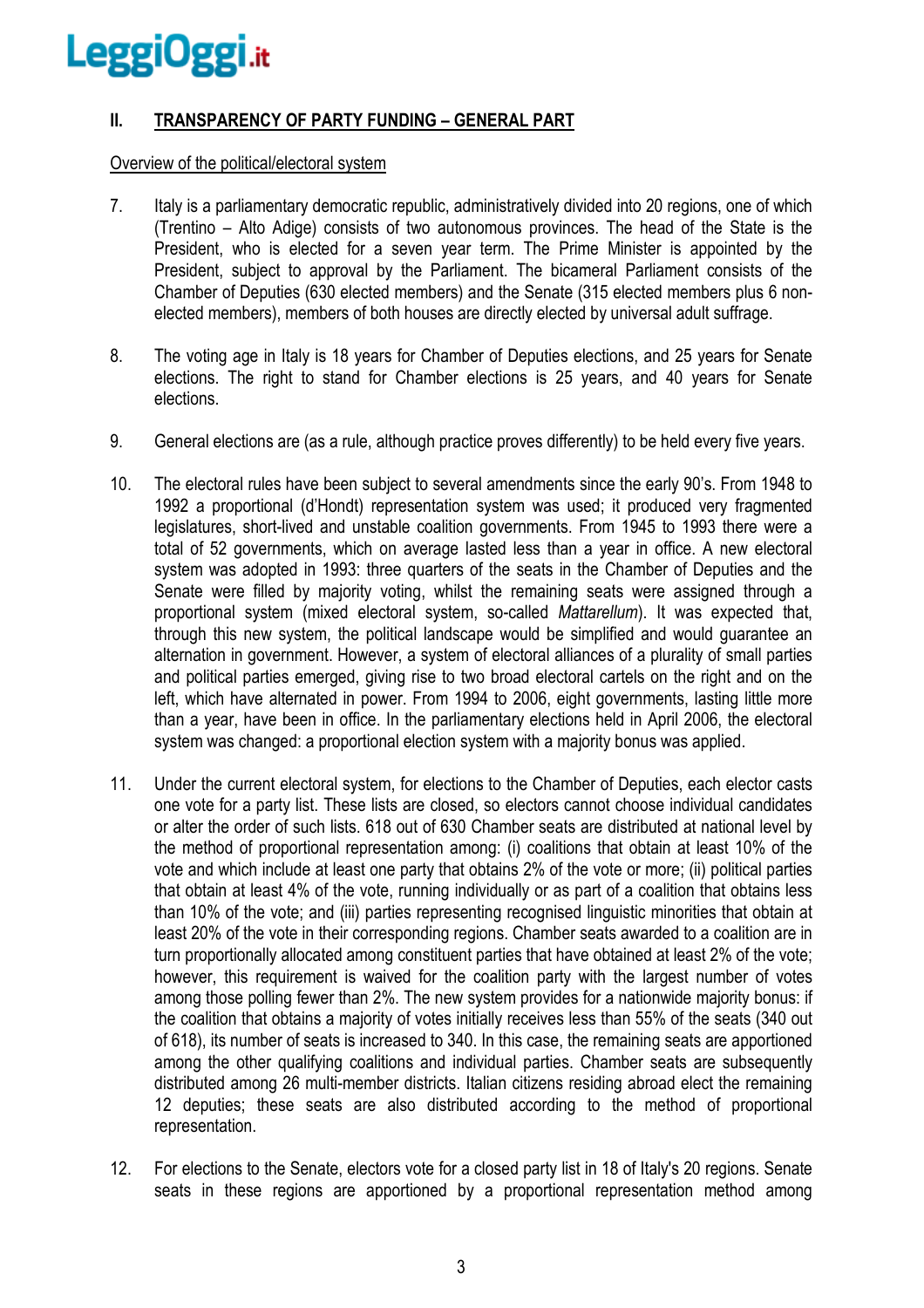# **II. TRANSPARENCY OF PARTY FUNDING – GENERAL PART**

# Overview of the political/electoral system

- 7. Italy is a parliamentary democratic republic, administratively divided into 20 regions, one of which (Trentino – Alto Adige) consists of two autonomous provinces. The head of the State is the President, who is elected for a seven year term. The Prime Minister is appointed by the President, subject to approval by the Parliament. The bicameral Parliament consists of the Chamber of Deputies (630 elected members) and the Senate (315 elected members plus 6 nonelected members), members of both houses are directly elected by universal adult suffrage.
- 8. The voting age in Italy is 18 years for Chamber of Deputies elections, and 25 years for Senate elections. The right to stand for Chamber elections is 25 years, and 40 years for Senate elections.
- 9. General elections are (as a rule, although practice proves differently) to be held every five years.
- 10. The electoral rules have been subject to several amendments since the early 90's. From 1948 to 1992 a proportional (d'Hondt) representation system was used; it produced very fragmented legislatures, short-lived and unstable coalition governments. From 1945 to 1993 there were a total of 52 governments, which on average lasted less than a year in office. A new electoral system was adopted in 1993; three quarters of the seats in the Chamber of Deputies and the Senate were filled by majority voting, whilst the remaining seats were assigned through a proportional system (mixed electoral system, so-called *Mattarellum*). It was expected that, through this new system, the political landscape would be simplified and would guarantee an alternation in government. However, a system of electoral alliances of a plurality of small parties and political parties emerged, giving rise to two broad electoral cartels on the right and on the left, which have alternated in power. From 1994 to 2006, eight governments, lasting little more than a year, have been in office. In the parliamentary elections held in April 2006, the electoral system was changed: a proportional election system with a majority bonus was applied.
- 11. Under the current electoral system, for elections to the Chamber of Deputies, each elector casts one vote for a party list. These lists are closed, so electors cannot choose individual candidates or alter the order of such lists. 618 out of 630 Chamber seats are distributed at national level by the method of proportional representation among: (i) coalitions that obtain at least 10% of the vote and which include at least one party that obtains 2% of the vote or more; (ii) political parties that obtain at least 4% of the vote, running individually or as part of a coalition that obtains less than 10% of the vote; and (iii) parties representing recognised linguistic minorities that obtain at least 20% of the vote in their corresponding regions. Chamber seats awarded to a coalition are in turn proportionally allocated among constituent parties that have obtained at least 2% of the vote; however, this requirement is waived for the coalition party with the largest number of votes among those polling fewer than 2%. The new system provides for a nationwide majority bonus: if the coalition that obtains a majority of votes initially receives less than 55% of the seats (340 out of 618), its number of seats is increased to 340. In this case, the remaining seats are apportioned among the other qualifying coalitions and individual parties. Chamber seats are subsequently distributed among 26 multi-member districts. Italian citizens residing abroad elect the remaining 12 deputies; these seats are also distributed according to the method of proportional representation.
- 12. For elections to the Senate, electors vote for a closed party list in 18 of Italy's 20 regions. Senate seats in these regions are apportioned by a proportional representation method among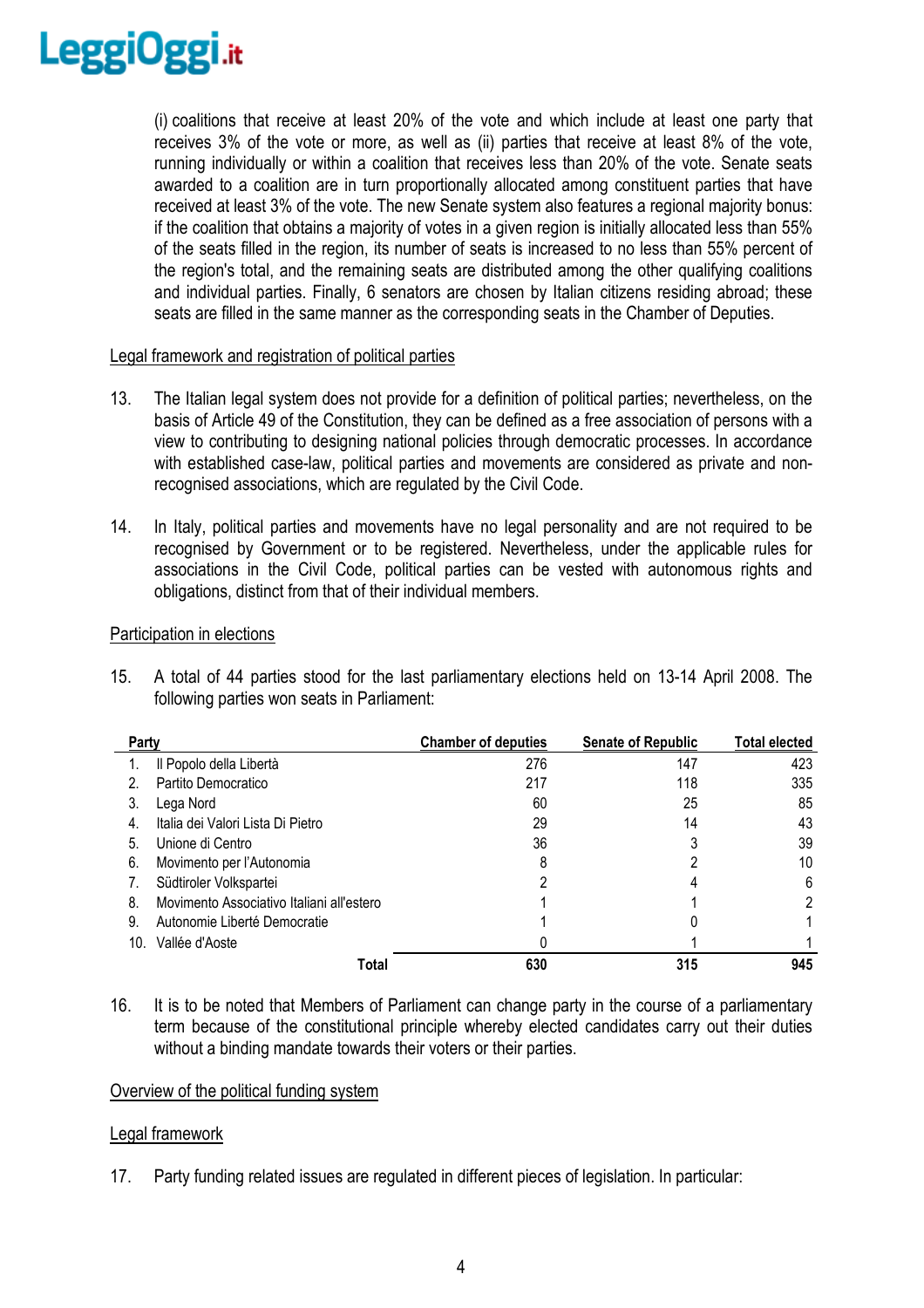

(i) coalitions that receive at least 20% of the vote and which include at least one party that receives 3% of the vote or more, as well as (ii) parties that receive at least 8% of the vote, running individually or within a coalition that receives less than 20% of the vote. Senate seats awarded to a coalition are in turn proportionally allocated among constituent parties that have received at least 3% of the vote. The new Senate system also features a regional majority bonus: if the coalition that obtains a majority of votes in a given region is initially allocated less than 55% of the seats filled in the region, its number of seats is increased to no less than 55% percent of the region's total, and the remaining seats are distributed among the other qualifying coalitions and individual parties. Finally, 6 senators are chosen by Italian citizens residing abroad; these seats are filled in the same manner as the corresponding seats in the Chamber of Deputies.

# Legal framework and registration of political parties

- 13. The Italian legal system does not provide for a definition of political parties; nevertheless, on the basis of Article 49 of the Constitution, they can be defined as a free association of persons with a view to contributing to designing national policies through democratic processes. In accordance with established case-law, political parties and movements are considered as private and nonrecognised associations, which are regulated by the Civil Code.
- 14. In Italy, political parties and movements have no legal personality and are not required to be recognised by Government or to be registered. Nevertheless, under the applicable rules for associations in the Civil Code, political parties can be vested with autonomous rights and obligations, distinct from that of their individual members.

#### Participation in elections

15. A total of 44 parties stood for the last parliamentary elections held on 13-14 April 2008. The following parties won seats in Parliament:

| Party |                                           | <b>Chamber of deputies</b> | <b>Senate of Republic</b> | <b>Total elected</b> |
|-------|-------------------------------------------|----------------------------|---------------------------|----------------------|
|       | Il Popolo della Libertà                   | 276                        | 147                       | 423                  |
|       | Partito Democratico                       | 217                        | 118                       | 335                  |
| 3.    | Lega Nord                                 | 60                         | 25                        | 85                   |
| 4.    | Italia dei Valori Lista Di Pietro         | 29                         | 14                        | 43                   |
| 5.    | Unione di Centro                          | 36                         |                           | 39                   |
| 6.    | Movimento per l'Autonomia                 |                            |                           | 10                   |
| 7.    | Südtiroler Volkspartei                    |                            |                           | 6                    |
| 8.    | Movimento Associativo Italiani all'estero |                            |                           | 2                    |
| 9.    | Autonomie Liberté Democratie              |                            |                           |                      |
| 10.   | Vallée d'Aoste                            |                            |                           |                      |
|       | Total                                     | 630                        | 315                       | 945                  |

16. It is to be noted that Members of Parliament can change party in the course of a parliamentary term because of the constitutional principle whereby elected candidates carry out their duties without a binding mandate towards their voters or their parties.

#### Overview of the political funding system

# Legal framework

17. Party funding related issues are regulated in different pieces of legislation. In particular: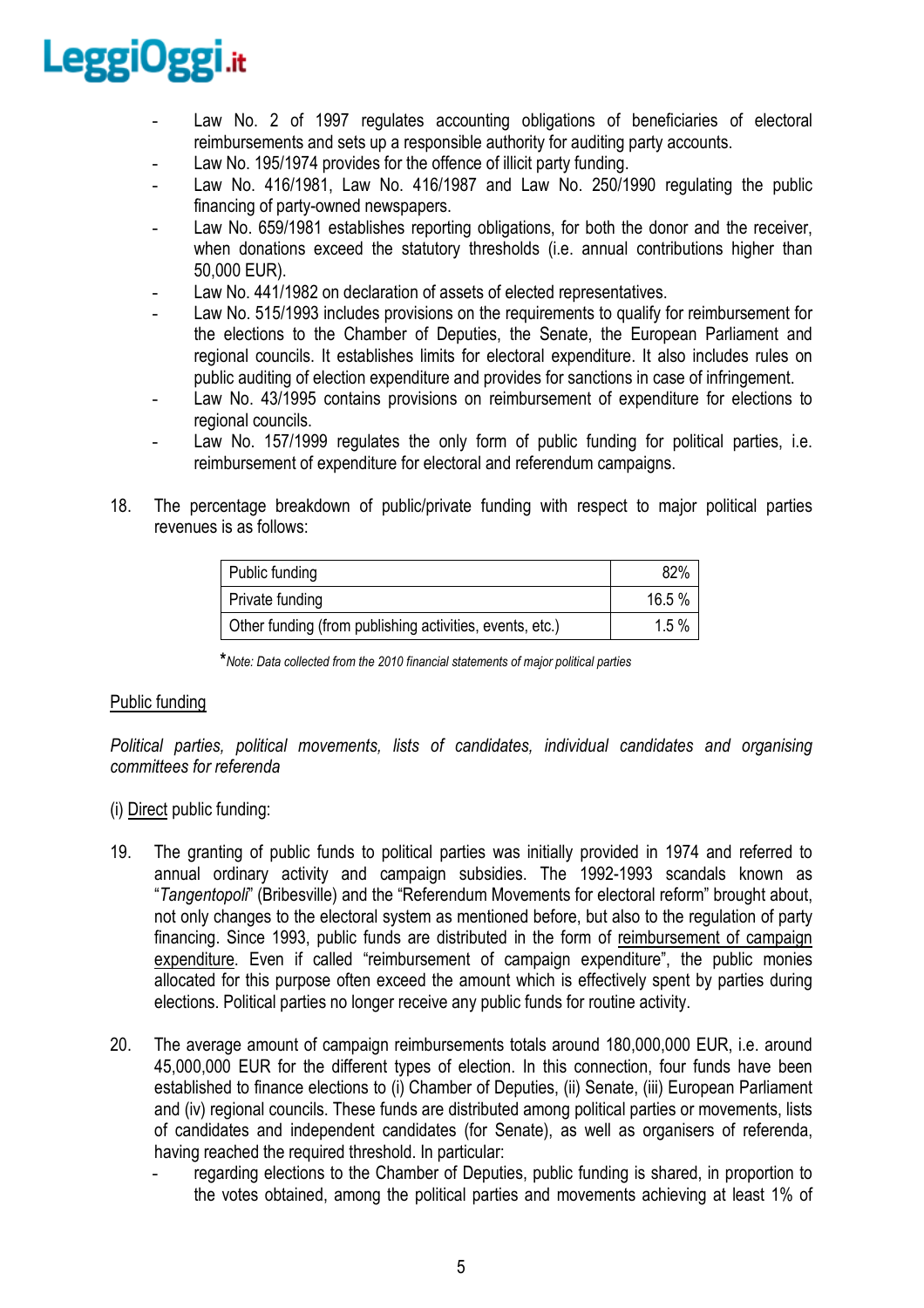- Law No. 2 of 1997 regulates accounting obligations of beneficiaries of electoral reimbursements and sets up a responsible authority for auditing party accounts.
- Law No. 195/1974 provides for the offence of illicit party funding.
- Law No. 416/1981, Law No. 416/1987 and Law No. 250/1990 regulating the public financing of party-owned newspapers.
- Law No. 659/1981 establishes reporting obligations, for both the donor and the receiver, when donations exceed the statutory thresholds (i.e. annual contributions higher than 50,000 EUR).
- Law No. 441/1982 on declaration of assets of elected representatives.
- Law No. 515/1993 includes provisions on the requirements to qualify for reimbursement for the elections to the Chamber of Deputies, the Senate, the European Parliament and regional councils. It establishes limits for electoral expenditure. It also includes rules on public auditing of election expenditure and provides for sanctions in case of infringement.
- Law No. 43/1995 contains provisions on reimbursement of expenditure for elections to regional councils.
- Law No. 157/1999 regulates the only form of public funding for political parties, i.e. reimbursement of expenditure for electoral and referendum campaigns.
- 18. The percentage breakdown of public/private funding with respect to major political parties revenues is as follows:

| Public funding                                           | 82%    |
|----------------------------------------------------------|--------|
| <b>Private funding</b>                                   | 16.5 % |
| Other funding (from publishing activities, events, etc.) | 1.5%   |

 **\****Note: Data collected from the 2010 financial statements of major political parties* 

# Public funding

*Political parties, political movements, lists of candidates, individual candidates and organising committees for referenda* 

# (i) Direct public funding:

- 19. The granting of public funds to political parties was initially provided in 1974 and referred to annual ordinary activity and campaign subsidies. The 1992-1993 scandals known as "*Tangentopoli*" (Bribesville) and the "Referendum Movements for electoral reform" brought about, not only changes to the electoral system as mentioned before, but also to the regulation of party financing. Since 1993, public funds are distributed in the form of reimbursement of campaign expenditure. Even if called "reimbursement of campaign expenditure", the public monies allocated for this purpose often exceed the amount which is effectively spent by parties during elections. Political parties no longer receive any public funds for routine activity.
- 20. The average amount of campaign reimbursements totals around 180,000,000 EUR, i.e. around 45,000,000 EUR for the different types of election. In this connection, four funds have been established to finance elections to (i) Chamber of Deputies, (ii) Senate, (iii) European Parliament and (iv) regional councils. These funds are distributed among political parties or movements, lists of candidates and independent candidates (for Senate), as well as organisers of referenda, having reached the required threshold. In particular:
	- regarding elections to the Chamber of Deputies, public funding is shared, in proportion to the votes obtained, among the political parties and movements achieving at least 1% of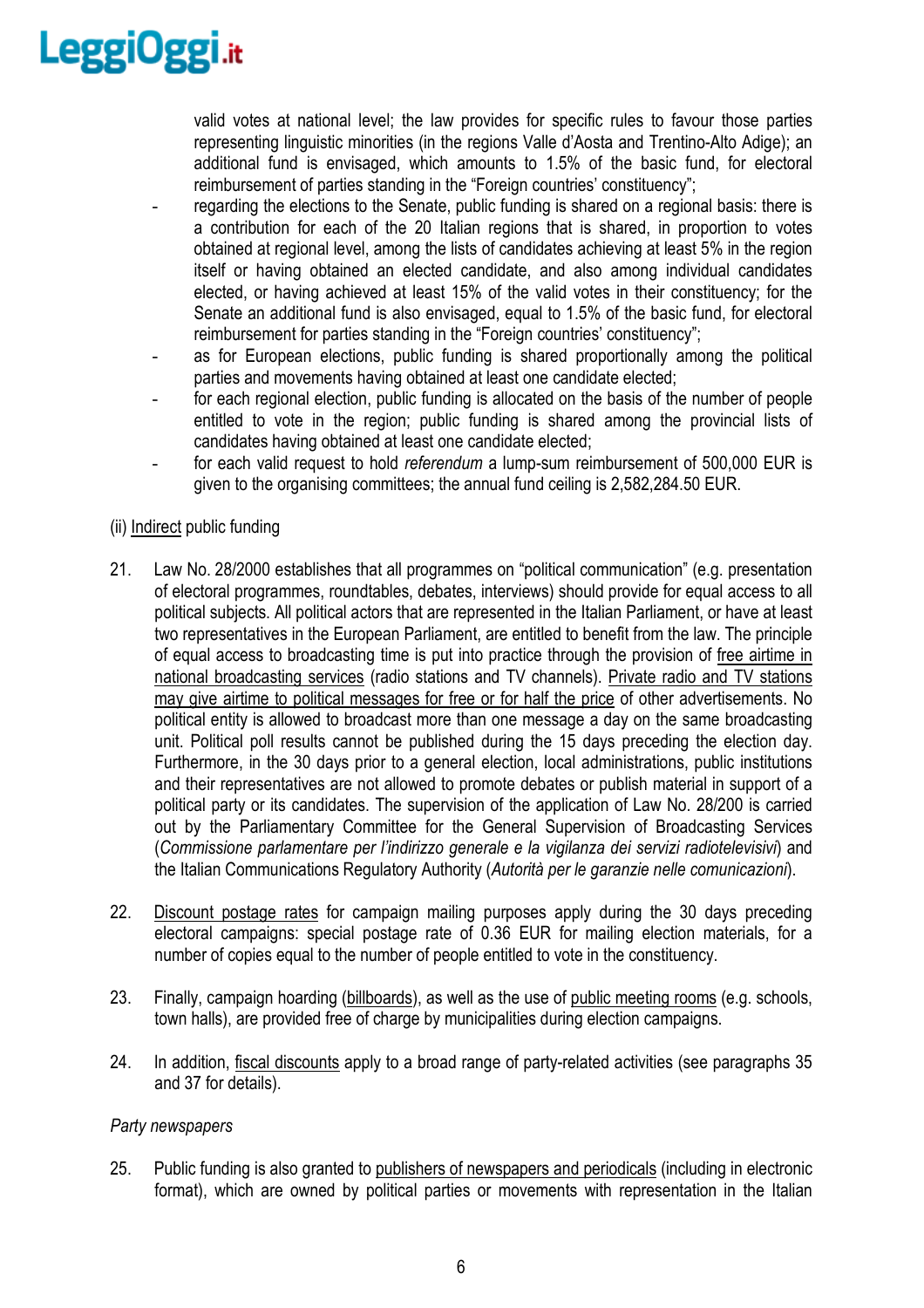

valid votes at national level; the law provides for specific rules to favour those parties representing linguistic minorities (in the regions Valle d'Aosta and Trentino-Alto Adige); an additional fund is envisaged, which amounts to 1.5% of the basic fund, for electoral reimbursement of parties standing in the "Foreign countries' constituency";

- regarding the elections to the Senate, public funding is shared on a regional basis: there is a contribution for each of the 20 Italian regions that is shared, in proportion to votes obtained at regional level, among the lists of candidates achieving at least 5% in the region itself or having obtained an elected candidate, and also among individual candidates elected, or having achieved at least 15% of the valid votes in their constituency; for the Senate an additional fund is also envisaged, equal to 1.5% of the basic fund, for electoral reimbursement for parties standing in the "Foreign countries' constituency";
- as for European elections, public funding is shared proportionally among the political parties and movements having obtained at least one candidate elected;
- for each regional election, public funding is allocated on the basis of the number of people entitled to vote in the region; public funding is shared among the provincial lists of candidates having obtained at least one candidate elected;
- for each valid request to hold *referendum* a lump-sum reimbursement of 500,000 EUR is given to the organising committees; the annual fund ceiling is 2,582,284.50 EUR.

# (ii) Indirect public funding

- 21. Law No. 28/2000 establishes that all programmes on "political communication" (e.g. presentation of electoral programmes, roundtables, debates, interviews) should provide for equal access to all political subjects. All political actors that are represented in the Italian Parliament, or have at least two representatives in the European Parliament, are entitled to benefit from the law. The principle of equal access to broadcasting time is put into practice through the provision of free airtime in national broadcasting services (radio stations and TV channels). Private radio and TV stations may give airtime to political messages for free or for half the price of other advertisements. No political entity is allowed to broadcast more than one message a day on the same broadcasting unit. Political poll results cannot be published during the 15 days preceding the election day. Furthermore, in the 30 days prior to a general election, local administrations, public institutions and their representatives are not allowed to promote debates or publish material in support of a political party or its candidates. The supervision of the application of Law No. 28/200 is carried out by the Parliamentary Committee for the General Supervision of Broadcasting Services (*Commissione parlamentare per l'indirizzo generale e la vigilanza dei servizi radiotelevisivi*) and the Italian Communications Regulatory Authority (*Autorità per le garanzie nelle comunicazioni*).
- 22. Discount postage rates for campaign mailing purposes apply during the 30 days preceding electoral campaigns: special postage rate of 0.36 EUR for mailing election materials, for a number of copies equal to the number of people entitled to vote in the constituency.
- 23. Finally, campaign hoarding (billboards), as well as the use of public meeting rooms (e.g. schools, town halls), are provided free of charge by municipalities during election campaigns.
- 24. In addition, fiscal discounts apply to a broad range of party-related activities (see paragraphs 35 and 37 for details).

# *Party newspapers*

25. Public funding is also granted to publishers of newspapers and periodicals (including in electronic format), which are owned by political parties or movements with representation in the Italian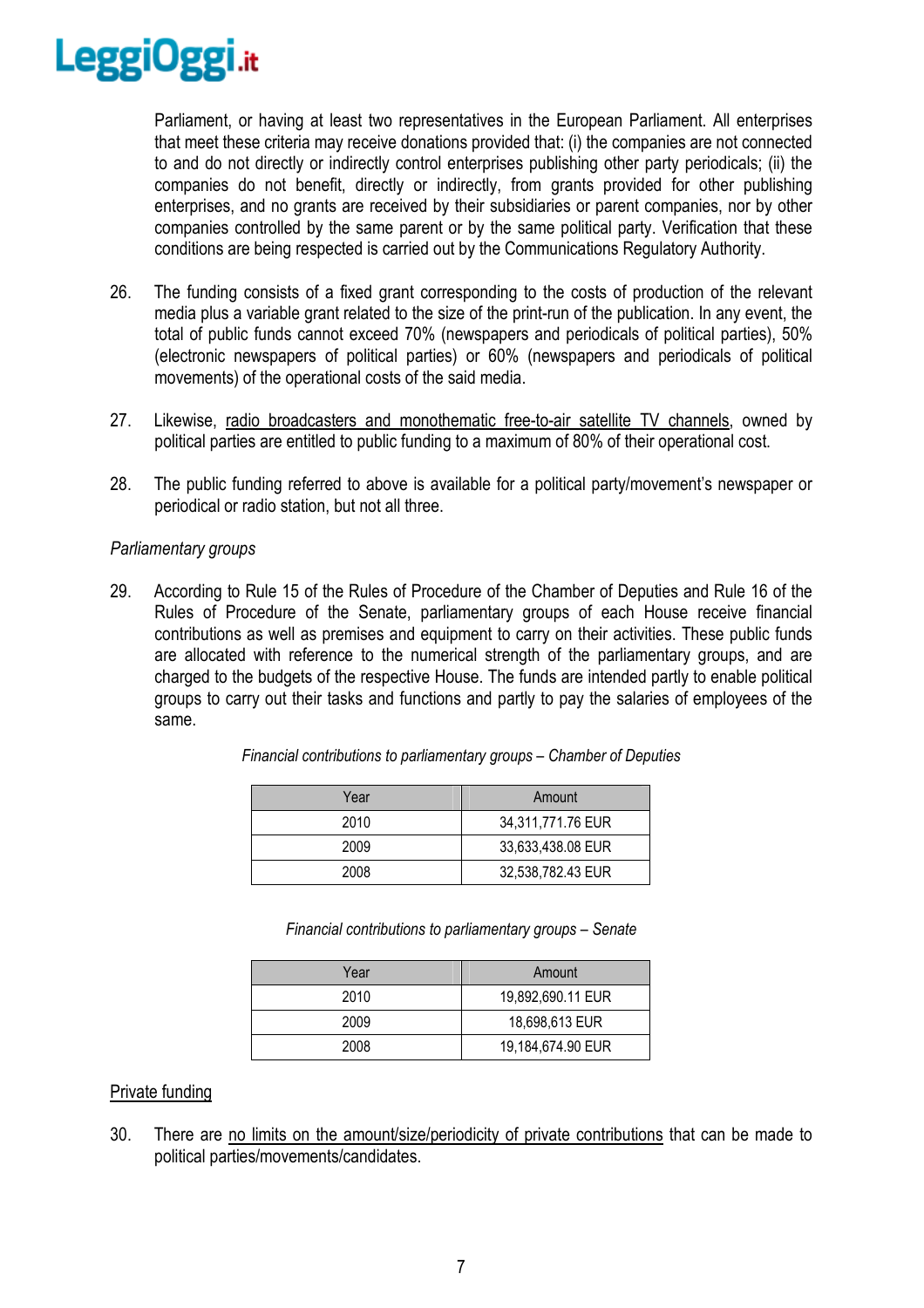

Parliament, or having at least two representatives in the European Parliament. All enterprises that meet these criteria may receive donations provided that: (i) the companies are not connected to and do not directly or indirectly control enterprises publishing other party periodicals; (ii) the companies do not benefit, directly or indirectly, from grants provided for other publishing enterprises, and no grants are received by their subsidiaries or parent companies, nor by other companies controlled by the same parent or by the same political party. Verification that these conditions are being respected is carried out by the Communications Regulatory Authority.

- 26. The funding consists of a fixed grant corresponding to the costs of production of the relevant media plus a variable grant related to the size of the print-run of the publication. In any event, the total of public funds cannot exceed 70% (newspapers and periodicals of political parties), 50% (electronic newspapers of political parties) or 60% (newspapers and periodicals of political movements) of the operational costs of the said media.
- 27. Likewise, radio broadcasters and monothematic free-to-air satellite TV channels, owned by political parties are entitled to public funding to a maximum of 80% of their operational cost.
- 28. The public funding referred to above is available for a political party/movement's newspaper or periodical or radio station, but not all three.

# *Parliamentary groups*

29. According to Rule 15 of the Rules of Procedure of the Chamber of Deputies and Rule 16 of the Rules of Procedure of the Senate, parliamentary groups of each House receive financial contributions as well as premises and equipment to carry on their activities. These public funds are allocated with reference to the numerical strength of the parliamentary groups, and are charged to the budgets of the respective House. The funds are intended partly to enable political groups to carry out their tasks and functions and partly to pay the salaries of employees of the same.

| Year | Amount            |  |
|------|-------------------|--|
| 2010 | 34,311,771.76 EUR |  |
| 2009 | 33,633,438.08 EUR |  |
| 2008 | 32,538,782.43 EUR |  |

*Financial contributions to parliamentary groups – Chamber of Deputies* 

*Financial contributions to parliamentary groups – Senate* 

| Year | Amount            |
|------|-------------------|
| 2010 | 19,892,690.11 EUR |
| 2009 | 18,698,613 EUR    |
| 2008 | 19,184,674.90 EUR |

# Private funding

30. There are no limits on the amount/size/periodicity of private contributions that can be made to political parties/movements/candidates.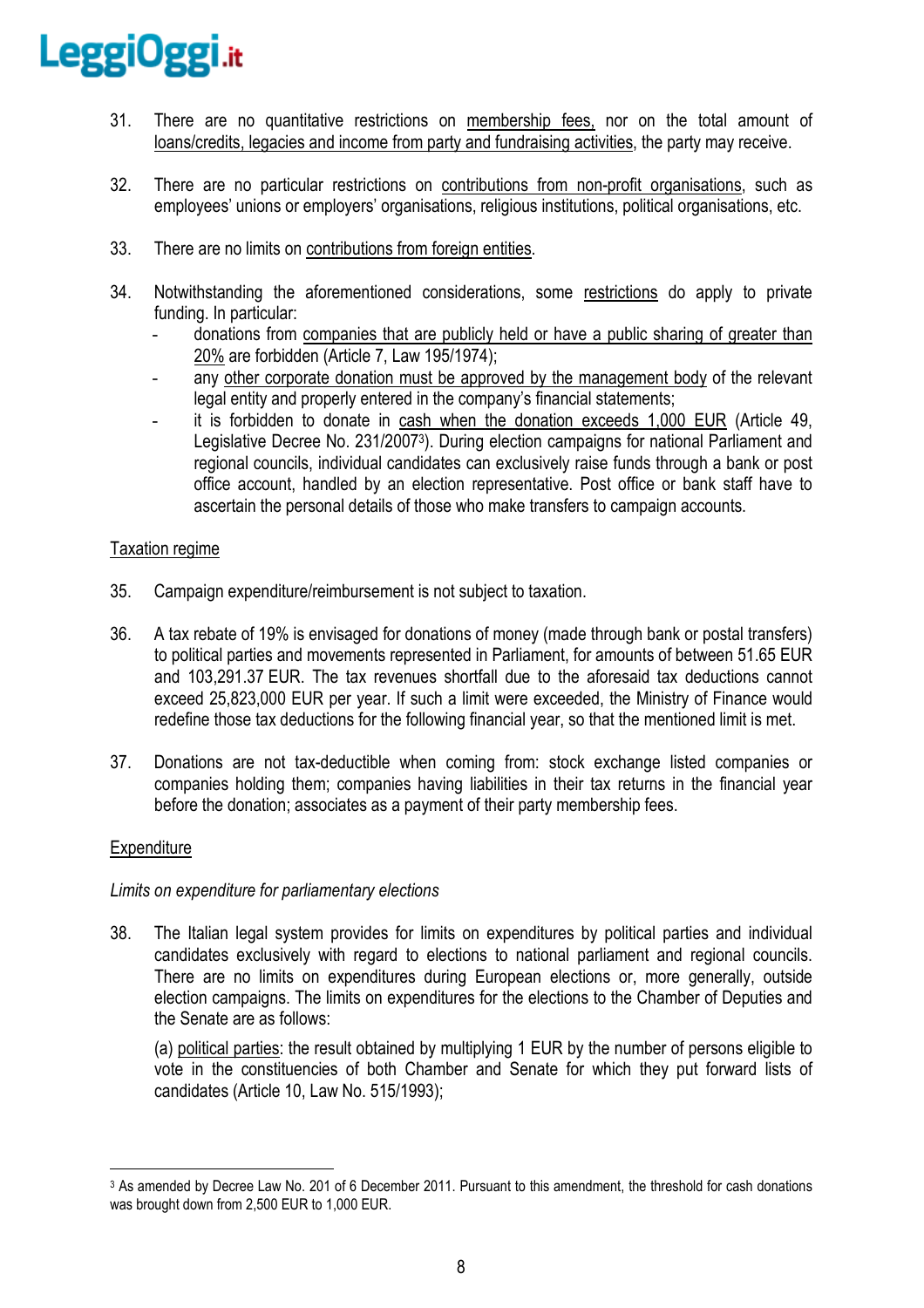- 31. There are no quantitative restrictions on membership fees, nor on the total amount of loans/credits, legacies and income from party and fundraising activities, the party may receive.
- 32. There are no particular restrictions on contributions from non-profit organisations, such as employees' unions or employers' organisations, religious institutions, political organisations, etc.
- 33. There are no limits on contributions from foreign entities.
- 34. Notwithstanding the aforementioned considerations, some restrictions do apply to private funding. In particular:
	- donations from companies that are publicly held or have a public sharing of greater than 20% are forbidden (Article 7, Law 195/1974);
	- any other corporate donation must be approved by the management body of the relevant legal entity and properly entered in the company's financial statements;
	- it is forbidden to donate in cash when the donation exceeds 1,000 EUR (Article 49, Legislative Decree No. 231/2007<sup>3</sup> ). During election campaigns for national Parliament and regional councils, individual candidates can exclusively raise funds through a bank or post office account, handled by an election representative. Post office or bank staff have to ascertain the personal details of those who make transfers to campaign accounts.

# Taxation regime

- 35. Campaign expenditure/reimbursement is not subject to taxation.
- 36. A tax rebate of 19% is envisaged for donations of money (made through bank or postal transfers) to political parties and movements represented in Parliament, for amounts of between 51.65 EUR and 103,291.37 EUR. The tax revenues shortfall due to the aforesaid tax deductions cannot exceed 25,823,000 EUR per year. If such a limit were exceeded, the Ministry of Finance would redefine those tax deductions for the following financial year, so that the mentioned limit is met.
- 37. Donations are not tax-deductible when coming from: stock exchange listed companies or companies holding them; companies having liabilities in their tax returns in the financial year before the donation; associates as a payment of their party membership fees.

# **Expenditure**

# *Limits on expenditure for parliamentary elections*

38. The Italian legal system provides for limits on expenditures by political parties and individual candidates exclusively with regard to elections to national parliament and regional councils. There are no limits on expenditures during European elections or, more generally, outside election campaigns. The limits on expenditures for the elections to the Chamber of Deputies and the Senate are as follows:

(a) political parties: the result obtained by multiplying 1 EUR by the number of persons eligible to vote in the constituencies of both Chamber and Senate for which they put forward lists of candidates (Article 10, Law No. 515/1993);

 $\overline{a}$ 3 As amended by Decree Law No. 201 of 6 December 2011. Pursuant to this amendment, the threshold for cash donations was brought down from 2,500 EUR to 1,000 EUR.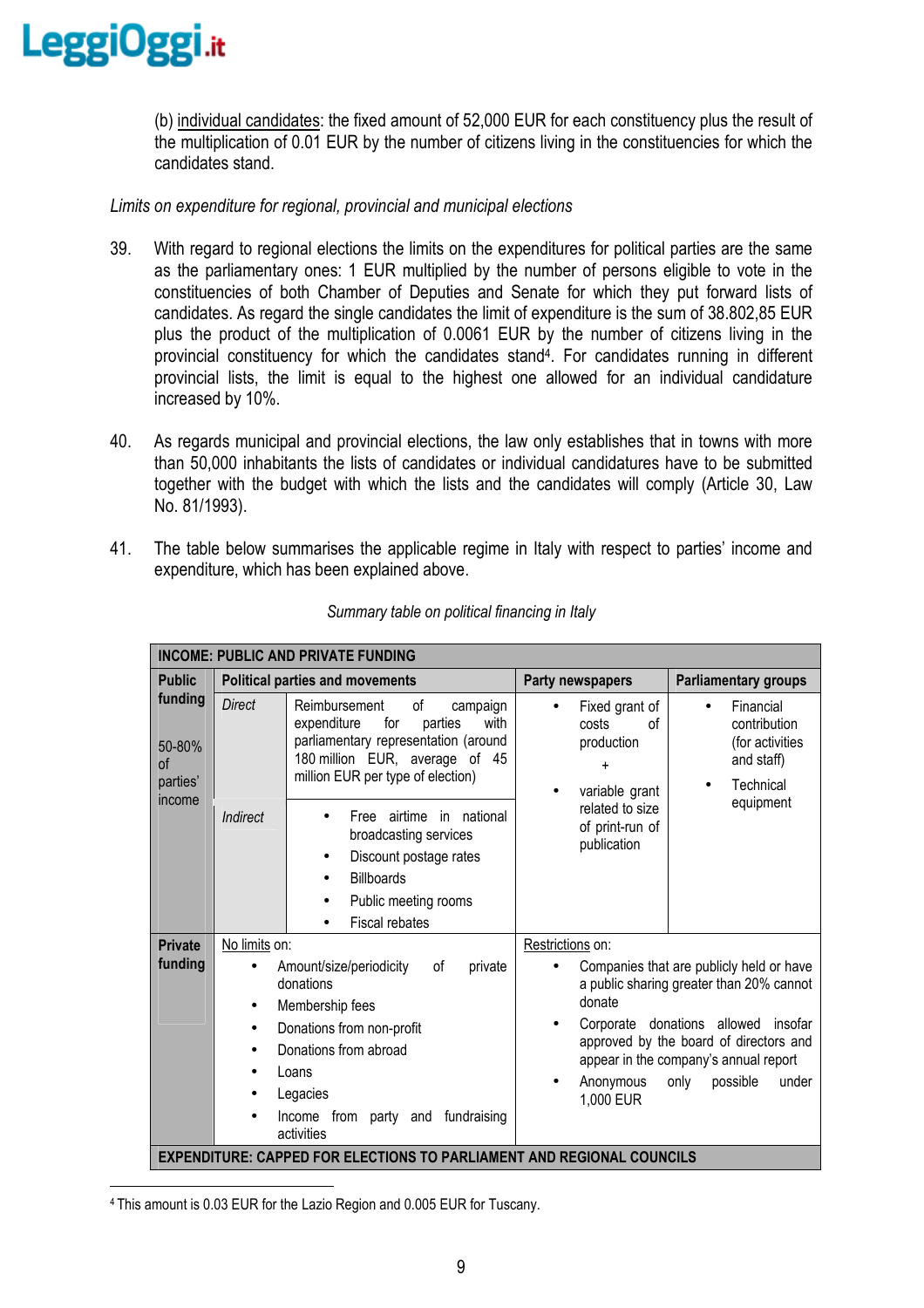

(b) individual candidates: the fixed amount of 52,000 EUR for each constituency plus the result of the multiplication of 0.01 EUR by the number of citizens living in the constituencies for which the candidates stand.

*Limits on expenditure for regional, provincial and municipal elections* 

- 39. With regard to regional elections the limits on the expenditures for political parties are the same as the parliamentary ones: 1 EUR multiplied by the number of persons eligible to vote in the constituencies of both Chamber of Deputies and Senate for which they put forward lists of candidates. As regard the single candidates the limit of expenditure is the sum of 38.802,85 EUR plus the product of the multiplication of 0.0061 EUR by the number of citizens living in the provincial constituency for which the candidates stand<sup>4</sup>. For candidates running in different provincial lists, the limit is equal to the highest one allowed for an individual candidature increased by 10%.
- 40. As regards municipal and provincial elections, the law only establishes that in towns with more than 50,000 inhabitants the lists of candidates or individual candidatures have to be submitted together with the budget with which the lists and the candidates will comply (Article 30, Law No. 81/1993).
- 41. The table below summarises the applicable regime in Italy with respect to parties' income and expenditure, which has been explained above.

| <b>INCOME: PUBLIC AND PRIVATE FUNDING</b> |                                                                                                                                                                                                                                      |                                                                                                                                                                                         |                                                                                                                                 |                                                                                                                                                                                                                                      |  |  |
|-------------------------------------------|--------------------------------------------------------------------------------------------------------------------------------------------------------------------------------------------------------------------------------------|-----------------------------------------------------------------------------------------------------------------------------------------------------------------------------------------|---------------------------------------------------------------------------------------------------------------------------------|--------------------------------------------------------------------------------------------------------------------------------------------------------------------------------------------------------------------------------------|--|--|
| <b>Public</b>                             |                                                                                                                                                                                                                                      | <b>Political parties and movements</b>                                                                                                                                                  | Party newspapers                                                                                                                | <b>Parliamentary groups</b>                                                                                                                                                                                                          |  |  |
| funding<br>50-80%<br>of<br>parties'       | <b>Direct</b>                                                                                                                                                                                                                        | Reimbursement<br>οf<br>campaign<br>expenditure<br>for<br>parties<br>with<br>parliamentary representation (around<br>180 million EUR, average of 45<br>million EUR per type of election) | Fixed grant of<br>costs<br>Ωf<br>production<br>$\ddot{}$<br>variable grant<br>related to size<br>of print-run of<br>publication | Financial<br>contribution<br>(for activities<br>and staff)<br>Technical                                                                                                                                                              |  |  |
|                                           | income<br>Indirect<br>Free<br>broadcasting services<br>Discount postage rates<br>$\bullet$<br><b>Billboards</b><br>Public meeting rooms<br>Fiscal rebates                                                                            | airtime in national                                                                                                                                                                     |                                                                                                                                 | equipment                                                                                                                                                                                                                            |  |  |
| <b>Private</b><br>funding                 | No limits on:<br>Amount/size/periodicity<br>private<br>οf<br>donations<br>Membership fees<br>$\bullet$<br>Donations from non-profit<br>Donations from abroad<br>Loans<br>Legacies<br>Income from party and fundraising<br>activities |                                                                                                                                                                                         | Restrictions on:<br>donate<br>Corporate<br>Anonymous<br>1,000 EUR                                                               | Companies that are publicly held or have<br>a public sharing greater than 20% cannot<br>donations allowed<br>insofar<br>approved by the board of directors and<br>appear in the company's annual report<br>possible<br>only<br>under |  |  |
|                                           |                                                                                                                                                                                                                                      | <b>EXPENDITURE: CAPPED FOR ELECTIONS TO PARLIAMENT AND REGIONAL COUNCILS</b>                                                                                                            |                                                                                                                                 |                                                                                                                                                                                                                                      |  |  |

*Summary table on political financing in Italy* 

 $\overline{a}$ 

<sup>4</sup> This amount is 0.03 EUR for the Lazio Region and 0.005 EUR for Tuscany.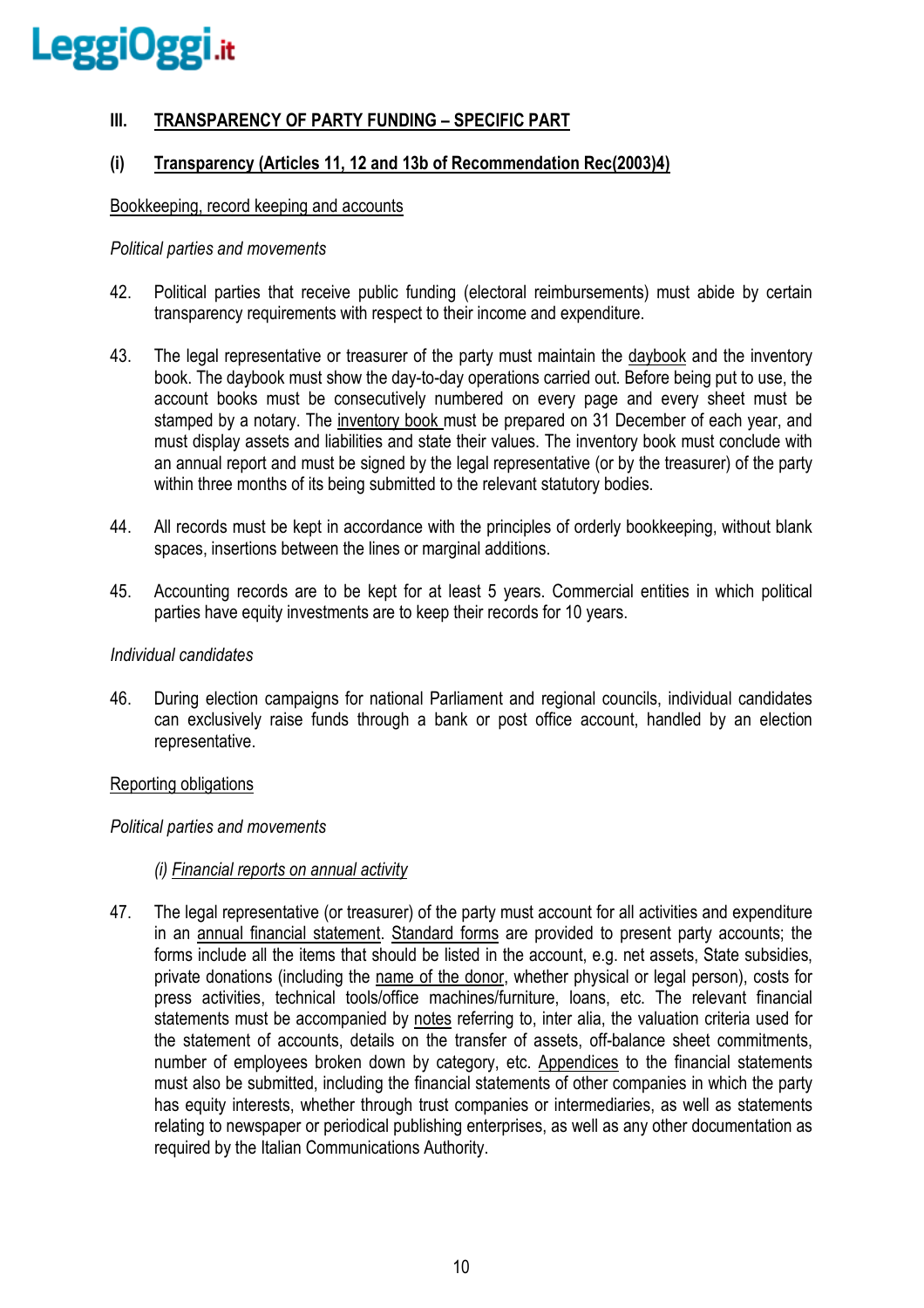# **III. TRANSPARENCY OF PARTY FUNDING – SPECIFIC PART**

# **(i) Transparency (Articles 11, 12 and 13b of Recommendation Rec(2003)4)**

#### Bookkeeping, record keeping and accounts

#### *Political parties and movements*

- 42. Political parties that receive public funding (electoral reimbursements) must abide by certain transparency requirements with respect to their income and expenditure.
- 43. The legal representative or treasurer of the party must maintain the daybook and the inventory book. The daybook must show the day-to-day operations carried out. Before being put to use, the account books must be consecutively numbered on every page and every sheet must be stamped by a notary. The inventory book must be prepared on 31 December of each year, and must display assets and liabilities and state their values. The inventory book must conclude with an annual report and must be signed by the legal representative (or by the treasurer) of the party within three months of its being submitted to the relevant statutory bodies.
- 44. All records must be kept in accordance with the principles of orderly bookkeeping, without blank spaces, insertions between the lines or marginal additions.
- 45. Accounting records are to be kept for at least 5 years. Commercial entities in which political parties have equity investments are to keep their records for 10 years.

#### *Individual candidates*

46. During election campaigns for national Parliament and regional councils, individual candidates can exclusively raise funds through a bank or post office account, handled by an election representative.

# Reporting obligations

#### *Political parties and movements*

#### *(i) Financial reports on annual activity*

47. The legal representative (or treasurer) of the party must account for all activities and expenditure in an annual financial statement. Standard forms are provided to present party accounts; the forms include all the items that should be listed in the account, e.g. net assets, State subsidies, private donations (including the name of the donor, whether physical or legal person), costs for press activities, technical tools/office machines/furniture, loans, etc. The relevant financial statements must be accompanied by notes referring to, inter alia, the valuation criteria used for the statement of accounts, details on the transfer of assets, off-balance sheet commitments, number of employees broken down by category, etc. Appendices to the financial statements must also be submitted, including the financial statements of other companies in which the party has equity interests, whether through trust companies or intermediaries, as well as statements relating to newspaper or periodical publishing enterprises, as well as any other documentation as required by the Italian Communications Authority.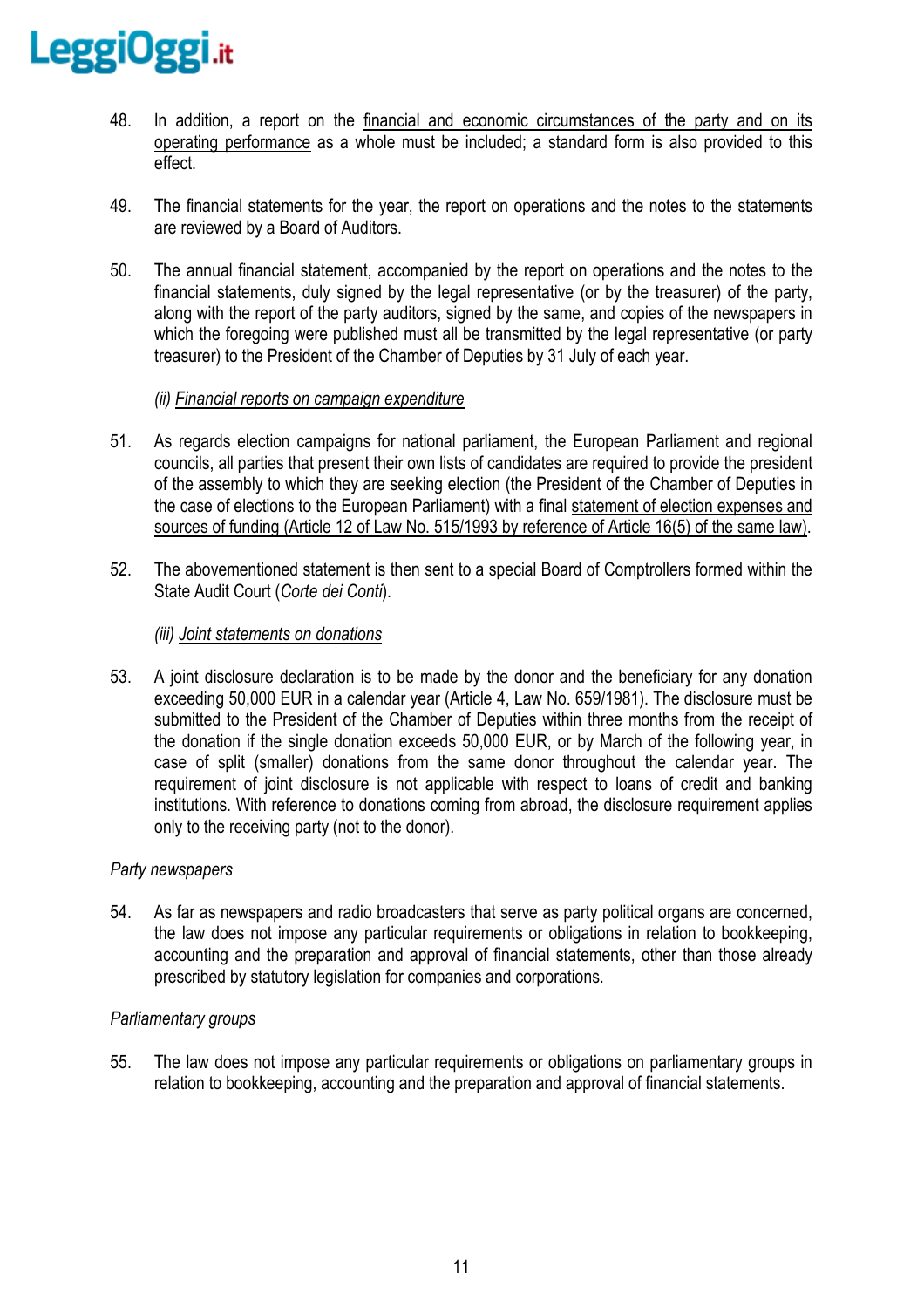

- 48. In addition, a report on the financial and economic circumstances of the party and on its operating performance as a whole must be included; a standard form is also provided to this effect.
- 49. The financial statements for the year, the report on operations and the notes to the statements are reviewed by a Board of Auditors.
- 50. The annual financial statement, accompanied by the report on operations and the notes to the financial statements, duly signed by the legal representative (or by the treasurer) of the party, along with the report of the party auditors, signed by the same, and copies of the newspapers in which the foregoing were published must all be transmitted by the legal representative (or party treasurer) to the President of the Chamber of Deputies by 31 July of each year.

# *(ii) Financial reports on campaign expenditure*

- 51. As regards election campaigns for national parliament, the European Parliament and regional councils, all parties that present their own lists of candidates are required to provide the president of the assembly to which they are seeking election (the President of the Chamber of Deputies in the case of elections to the European Parliament) with a final statement of election expenses and sources of funding (Article 12 of Law No. 515/1993 by reference of Article 16(5) of the same law).
- 52. The abovementioned statement is then sent to a special Board of Comptrollers formed within the State Audit Court (*Corte dei Conti*).

# *(iii) Joint statements on donations*

53. A joint disclosure declaration is to be made by the donor and the beneficiary for any donation exceeding 50,000 EUR in a calendar year (Article 4, Law No. 659/1981). The disclosure must be submitted to the President of the Chamber of Deputies within three months from the receipt of the donation if the single donation exceeds 50,000 EUR, or by March of the following year, in case of split (smaller) donations from the same donor throughout the calendar year. The requirement of joint disclosure is not applicable with respect to loans of credit and banking institutions. With reference to donations coming from abroad, the disclosure requirement applies only to the receiving party (not to the donor).

# *Party newspapers*

54. As far as newspapers and radio broadcasters that serve as party political organs are concerned, the law does not impose any particular requirements or obligations in relation to bookkeeping, accounting and the preparation and approval of financial statements, other than those already prescribed by statutory legislation for companies and corporations.

# *Parliamentary groups*

55. The law does not impose any particular requirements or obligations on parliamentary groups in relation to bookkeeping, accounting and the preparation and approval of financial statements.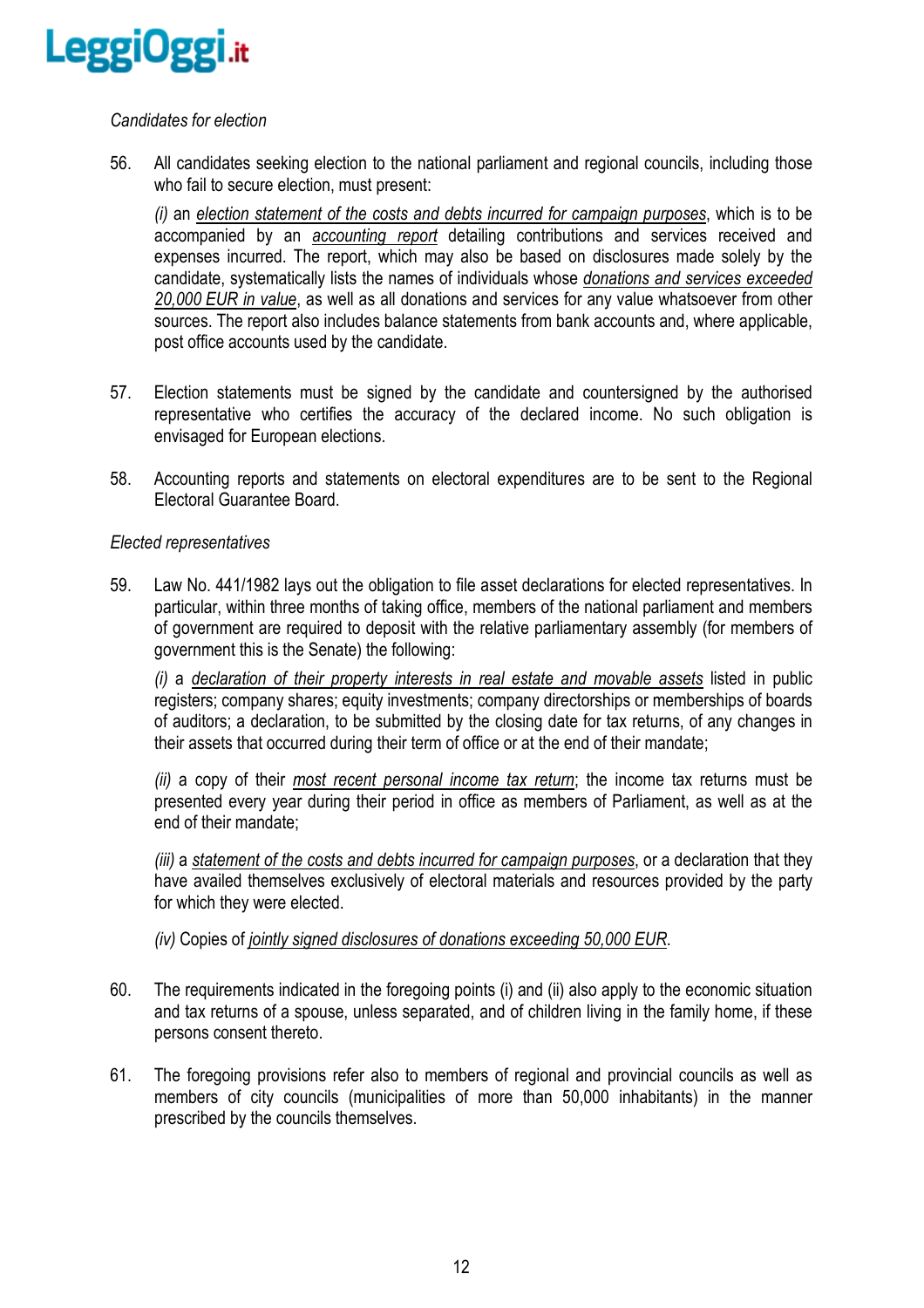

# *Candidates for election*

56. All candidates seeking election to the national parliament and regional councils, including those who fail to secure election, must present:

*(i)* an *election statement of the costs and debts incurred for campaign purposes*, which is to be accompanied by an *accounting report* detailing contributions and services received and expenses incurred. The report, which may also be based on disclosures made solely by the candidate, systematically lists the names of individuals whose *donations and services exceeded 20,000 EUR in value*, as well as all donations and services for any value whatsoever from other sources. The report also includes balance statements from bank accounts and, where applicable, post office accounts used by the candidate.

- 57. Election statements must be signed by the candidate and countersigned by the authorised representative who certifies the accuracy of the declared income. No such obligation is envisaged for European elections.
- 58. Accounting reports and statements on electoral expenditures are to be sent to the Regional Electoral Guarantee Board.

#### *Elected representatives*

59. Law No. 441/1982 lays out the obligation to file asset declarations for elected representatives. In particular, within three months of taking office, members of the national parliament and members of government are required to deposit with the relative parliamentary assembly (for members of government this is the Senate) the following:

*(i)* a *declaration of their property interests in real estate and movable assets* listed in public registers; company shares; equity investments; company directorships or memberships of boards of auditors; a declaration, to be submitted by the closing date for tax returns, of any changes in their assets that occurred during their term of office or at the end of their mandate;

*(ii)* a copy of their *most recent personal income tax return*; the income tax returns must be presented every year during their period in office as members of Parliament, as well as at the end of their mandate;

*(iii)* a *statement of the costs and debts incurred for campaign purposes*, or a declaration that they have availed themselves exclusively of electoral materials and resources provided by the party for which they were elected.

*(iv)* Copies of *jointly signed disclosures of donations exceeding 50,000 EUR*.

- 60. The requirements indicated in the foregoing points (i) and (ii) also apply to the economic situation and tax returns of a spouse, unless separated, and of children living in the family home, if these persons consent thereto.
- 61. The foregoing provisions refer also to members of regional and provincial councils as well as members of city councils (municipalities of more than 50,000 inhabitants) in the manner prescribed by the councils themselves.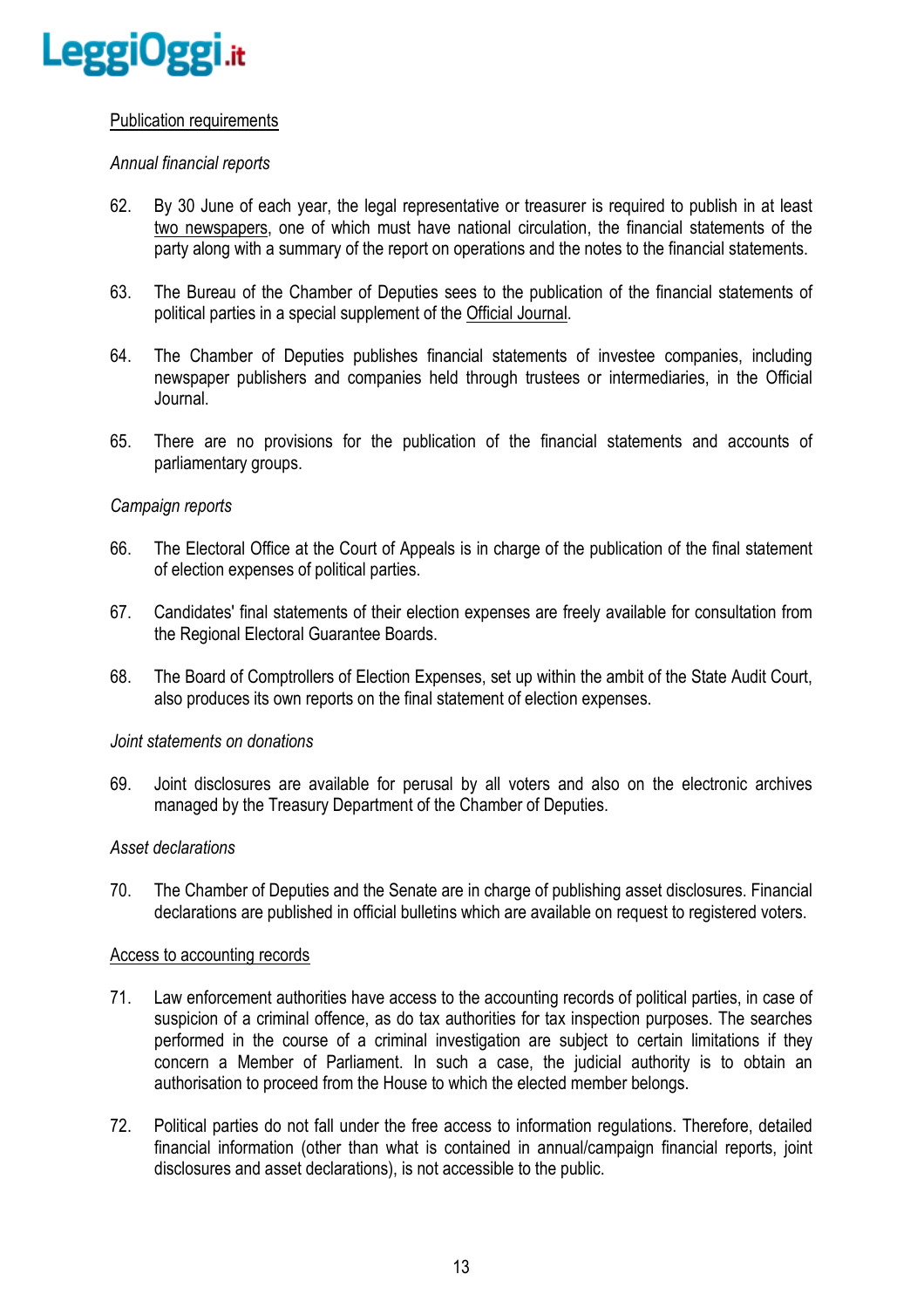

# Publication requirements

# *Annual financial reports*

- 62. By 30 June of each year, the legal representative or treasurer is required to publish in at least two newspapers, one of which must have national circulation, the financial statements of the party along with a summary of the report on operations and the notes to the financial statements.
- 63. The Bureau of the Chamber of Deputies sees to the publication of the financial statements of political parties in a special supplement of the Official Journal.
- 64. The Chamber of Deputies publishes financial statements of investee companies, including newspaper publishers and companies held through trustees or intermediaries, in the Official Journal.
- 65. There are no provisions for the publication of the financial statements and accounts of parliamentary groups.

#### *Campaign reports*

- 66. The Electoral Office at the Court of Appeals is in charge of the publication of the final statement of election expenses of political parties.
- 67. Candidates' final statements of their election expenses are freely available for consultation from the Regional Electoral Guarantee Boards.
- 68. The Board of Comptrollers of Election Expenses, set up within the ambit of the State Audit Court, also produces its own reports on the final statement of election expenses.

#### *Joint statements on donations*

69. Joint disclosures are available for perusal by all voters and also on the electronic archives managed by the Treasury Department of the Chamber of Deputies.

#### *Asset declarations*

70. The Chamber of Deputies and the Senate are in charge of publishing asset disclosures. Financial declarations are published in official bulletins which are available on request to registered voters.

#### Access to accounting records

- 71. Law enforcement authorities have access to the accounting records of political parties, in case of suspicion of a criminal offence, as do tax authorities for tax inspection purposes. The searches performed in the course of a criminal investigation are subject to certain limitations if they concern a Member of Parliament. In such a case, the judicial authority is to obtain an authorisation to proceed from the House to which the elected member belongs.
- 72. Political parties do not fall under the free access to information regulations. Therefore, detailed financial information (other than what is contained in annual/campaign financial reports, joint disclosures and asset declarations), is not accessible to the public.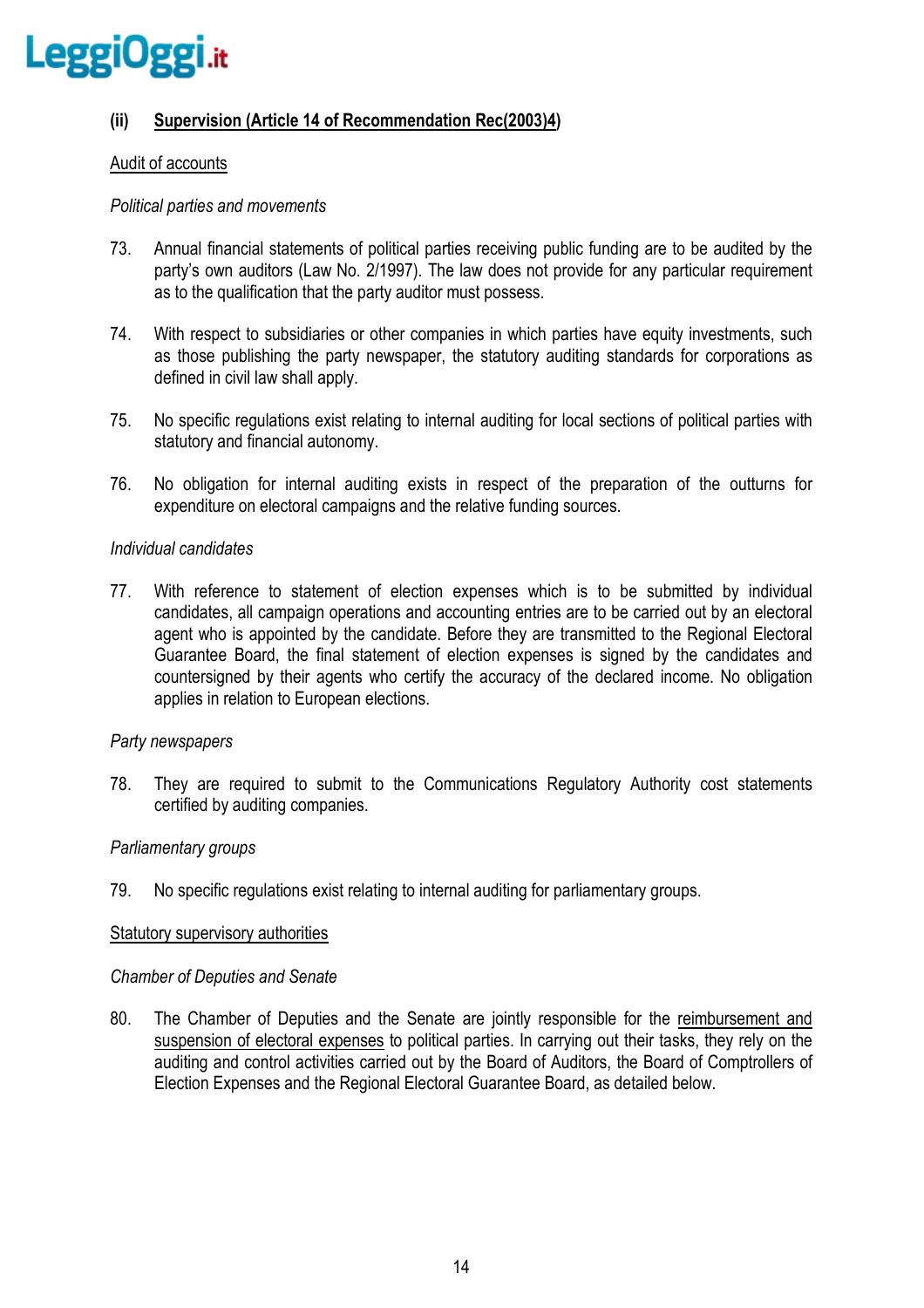

# **(ii) Supervision (Article 14 of Recommendation Rec(2003)4)**

# Audit of accounts

#### *Political parties and movements*

- 73. Annual financial statements of political parties receiving public funding are to be audited by the party's own auditors (Law No. 2/1997). The law does not provide for any particular requirement as to the qualification that the party auditor must possess.
- 74. With respect to subsidiaries or other companies in which parties have equity investments, such as those publishing the party newspaper, the statutory auditing standards for corporations as defined in civil law shall apply.
- 75. No specific regulations exist relating to internal auditing for local sections of political parties with statutory and financial autonomy.
- 76. No obligation for internal auditing exists in respect of the preparation of the outturns for expenditure on electoral campaigns and the relative funding sources.

#### *Individual candidates*

77. With reference to statement of election expenses which is to be submitted by individual candidates, all campaign operations and accounting entries are to be carried out by an electoral agent who is appointed by the candidate. Before they are transmitted to the Regional Electoral Guarantee Board, the final statement of election expenses is signed by the candidates and countersigned by their agents who certify the accuracy of the declared income. No obligation applies in relation to European elections.

# *Party newspapers*

78. They are required to submit to the Communications Regulatory Authority cost statements certified by auditing companies.

# *Parliamentary groups*

79. No specific regulations exist relating to internal auditing for parliamentary groups.

#### Statutory supervisory authorities

#### *Chamber of Deputies and Senate*

80. The Chamber of Deputies and the Senate are jointly responsible for the reimbursement and suspension of electoral expenses to political parties. In carrying out their tasks, they rely on the auditing and control activities carried out by the Board of Auditors, the Board of Comptrollers of Election Expenses and the Regional Electoral Guarantee Board, as detailed below.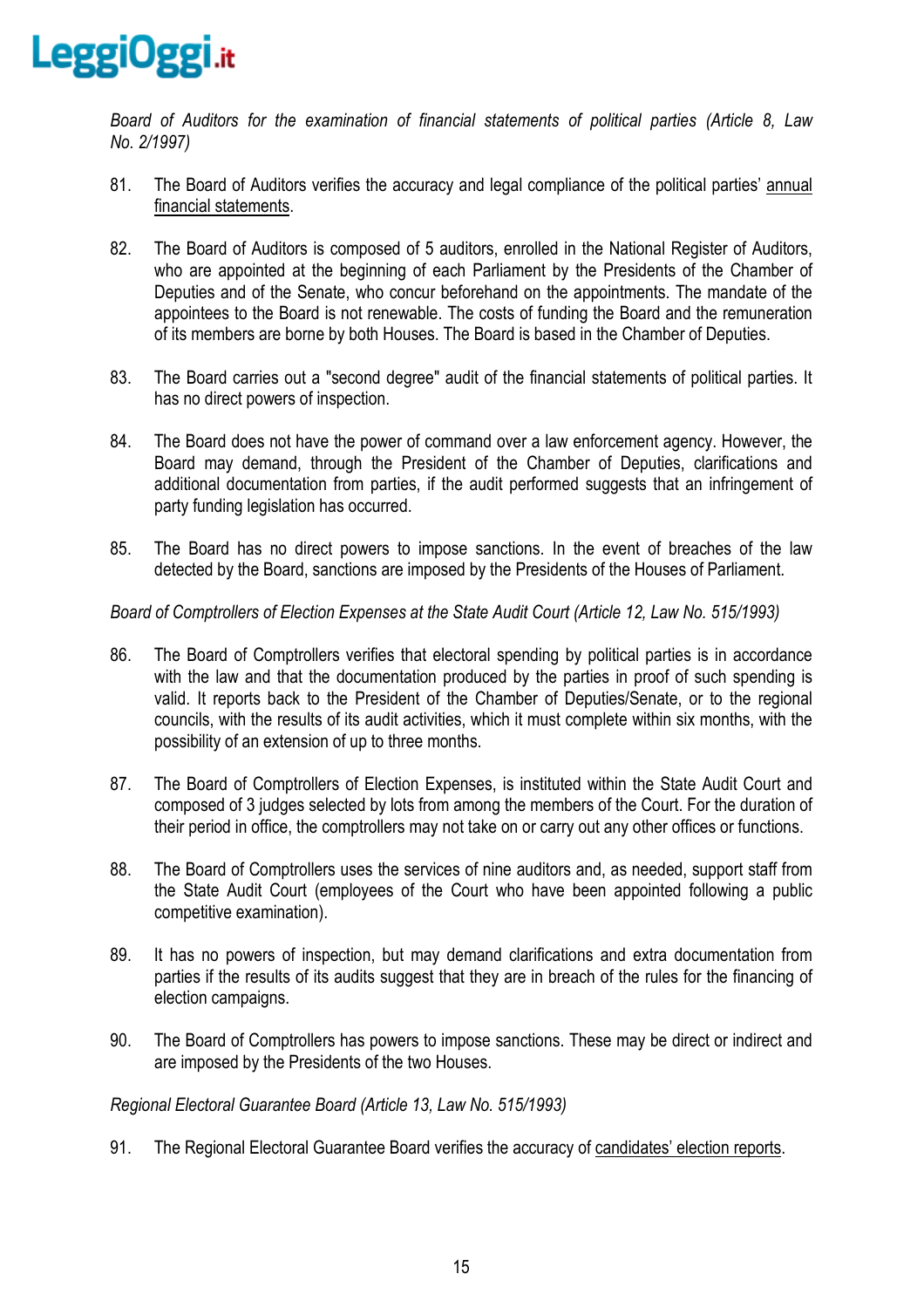

*Board of Auditors for the examination of financial statements of political parties (Article 8, Law No. 2/1997)* 

- 81. The Board of Auditors verifies the accuracy and legal compliance of the political parties' annual financial statements.
- 82. The Board of Auditors is composed of 5 auditors, enrolled in the National Register of Auditors, who are appointed at the beginning of each Parliament by the Presidents of the Chamber of Deputies and of the Senate, who concur beforehand on the appointments. The mandate of the appointees to the Board is not renewable. The costs of funding the Board and the remuneration of its members are borne by both Houses. The Board is based in the Chamber of Deputies.
- 83. The Board carries out a "second degree" audit of the financial statements of political parties. It has no direct powers of inspection.
- 84. The Board does not have the power of command over a law enforcement agency. However, the Board may demand, through the President of the Chamber of Deputies, clarifications and additional documentation from parties, if the audit performed suggests that an infringement of party funding legislation has occurred.
- 85. The Board has no direct powers to impose sanctions. In the event of breaches of the law detected by the Board, sanctions are imposed by the Presidents of the Houses of Parliament.

# *Board of Comptrollers of Election Expenses at the State Audit Court (Article 12, Law No. 515/1993)*

- 86. The Board of Comptrollers verifies that electoral spending by political parties is in accordance with the law and that the documentation produced by the parties in proof of such spending is valid. It reports back to the President of the Chamber of Deputies/Senate, or to the regional councils, with the results of its audit activities, which it must complete within six months, with the possibility of an extension of up to three months.
- 87. The Board of Comptrollers of Election Expenses, is instituted within the State Audit Court and composed of 3 judges selected by lots from among the members of the Court. For the duration of their period in office, the comptrollers may not take on or carry out any other offices or functions.
- 88. The Board of Comptrollers uses the services of nine auditors and, as needed, support staff from the State Audit Court (employees of the Court who have been appointed following a public competitive examination).
- 89. It has no powers of inspection, but may demand clarifications and extra documentation from parties if the results of its audits suggest that they are in breach of the rules for the financing of election campaigns.
- 90. The Board of Comptrollers has powers to impose sanctions. These may be direct or indirect and are imposed by the Presidents of the two Houses.

*Regional Electoral Guarantee Board (Article 13, Law No. 515/1993)* 

91. The Regional Electoral Guarantee Board verifies the accuracy of candidates' election reports.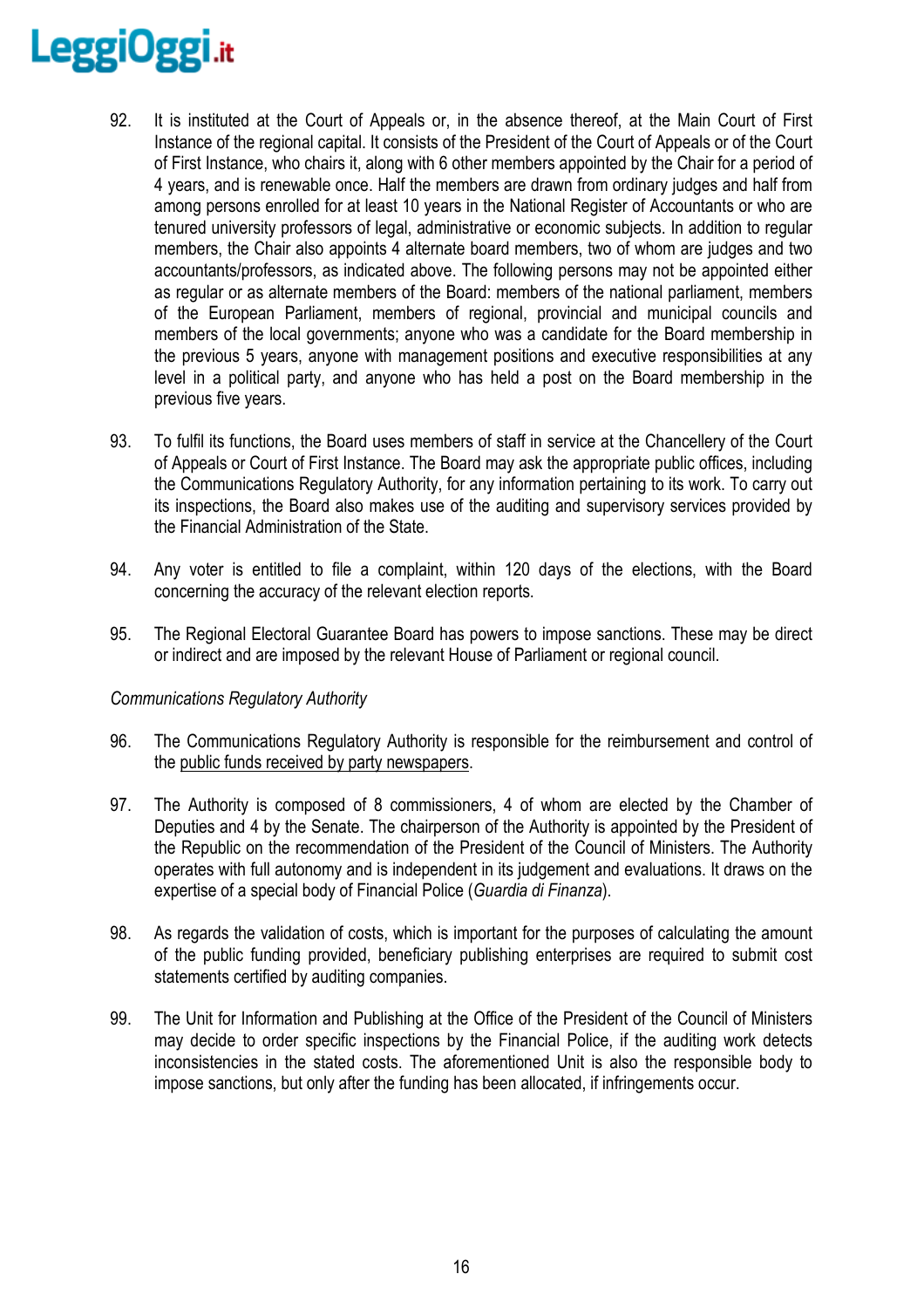- 92. It is instituted at the Court of Appeals or, in the absence thereof, at the Main Court of First Instance of the regional capital. It consists of the President of the Court of Appeals or of the Court of First Instance, who chairs it, along with 6 other members appointed by the Chair for a period of 4 years, and is renewable once. Half the members are drawn from ordinary judges and half from among persons enrolled for at least 10 years in the National Register of Accountants or who are tenured university professors of legal, administrative or economic subjects. In addition to regular members, the Chair also appoints 4 alternate board members, two of whom are judges and two accountants/professors, as indicated above. The following persons may not be appointed either as regular or as alternate members of the Board: members of the national parliament, members of the European Parliament, members of regional, provincial and municipal councils and members of the local governments; anyone who was a candidate for the Board membership in the previous 5 years, anyone with management positions and executive responsibilities at any level in a political party, and anyone who has held a post on the Board membership in the previous five years.
- 93. To fulfil its functions, the Board uses members of staff in service at the Chancellery of the Court of Appeals or Court of First Instance. The Board may ask the appropriate public offices, including the Communications Regulatory Authority, for any information pertaining to its work. To carry out its inspections, the Board also makes use of the auditing and supervisory services provided by the Financial Administration of the State.
- 94. Any voter is entitled to file a complaint, within 120 days of the elections, with the Board concerning the accuracy of the relevant election reports.
- 95. The Regional Electoral Guarantee Board has powers to impose sanctions. These may be direct or indirect and are imposed by the relevant House of Parliament or regional council.

# *Communications Regulatory Authority*

- 96. The Communications Regulatory Authority is responsible for the reimbursement and control of the public funds received by party newspapers.
- 97. The Authority is composed of 8 commissioners, 4 of whom are elected by the Chamber of Deputies and 4 by the Senate. The chairperson of the Authority is appointed by the President of the Republic on the recommendation of the President of the Council of Ministers. The Authority operates with full autonomy and is independent in its judgement and evaluations. It draws on the expertise of a special body of Financial Police (*Guardia di Finanza*).
- 98. As regards the validation of costs, which is important for the purposes of calculating the amount of the public funding provided, beneficiary publishing enterprises are required to submit cost statements certified by auditing companies.
- 99. The Unit for Information and Publishing at the Office of the President of the Council of Ministers may decide to order specific inspections by the Financial Police, if the auditing work detects inconsistencies in the stated costs. The aforementioned Unit is also the responsible body to impose sanctions, but only after the funding has been allocated, if infringements occur.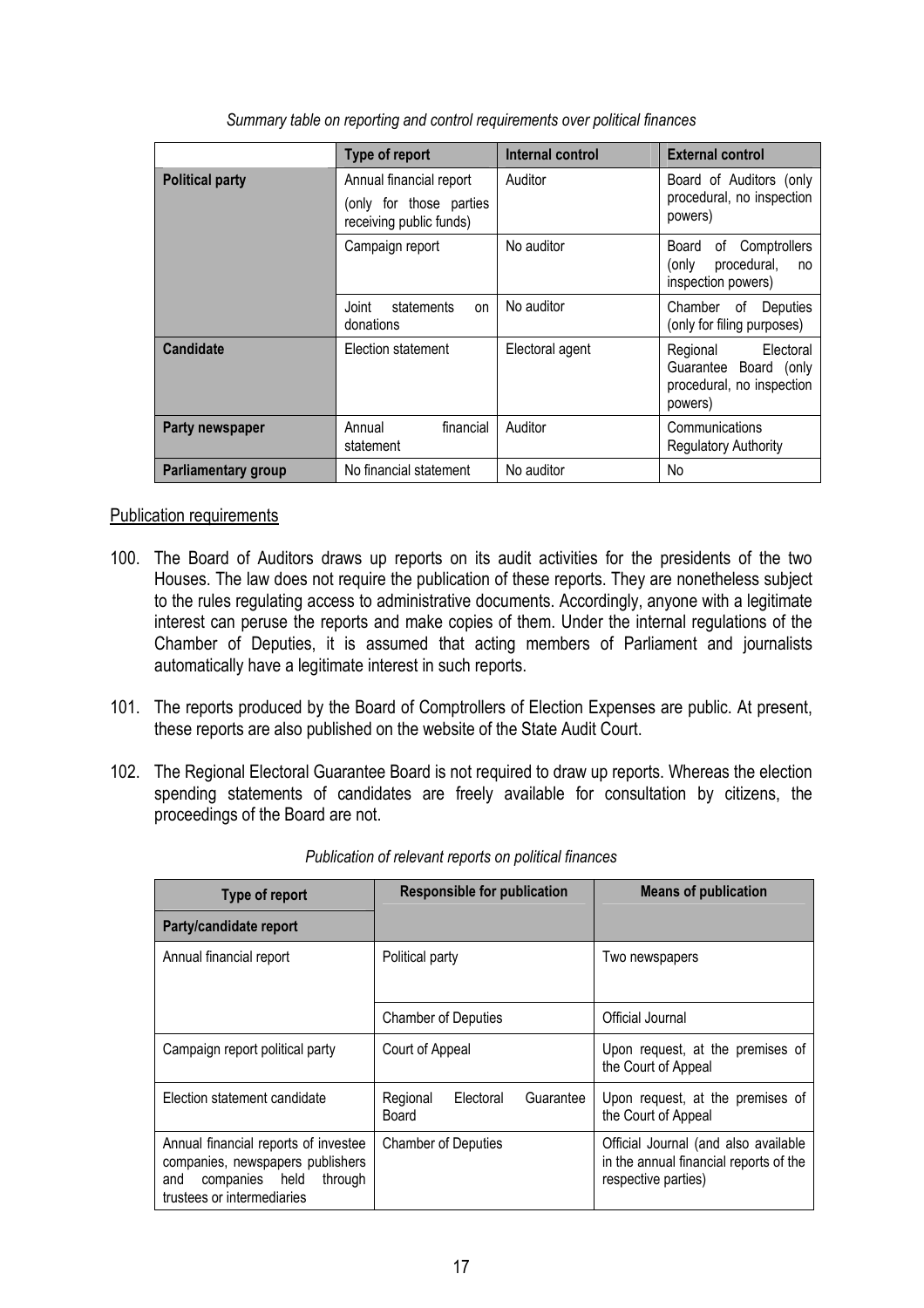|                                                                                                         | Type of report                                | Internal control | <b>External control</b>                                                                   |
|---------------------------------------------------------------------------------------------------------|-----------------------------------------------|------------------|-------------------------------------------------------------------------------------------|
| <b>Political party</b><br>Annual financial report<br>(only for those parties<br>receiving public funds) |                                               | Auditor          | Board of Auditors (only<br>procedural, no inspection<br>powers)                           |
|                                                                                                         | Campaign report                               | No auditor       | of Comptrollers<br>Board<br>procedural,<br>(only<br>no<br>inspection powers)              |
|                                                                                                         | Joint<br>statements<br><b>on</b><br>donations | No auditor       | Chamber<br>Deputies<br>of<br>(only for filing purposes)                                   |
| <b>Candidate</b>                                                                                        | Election statement                            | Electoral agent  | Electoral<br>Regional<br>Guarantee<br>Board (only<br>procedural, no inspection<br>powers) |
| Party newspaper                                                                                         | financial<br>Annual<br>statement              | Auditor          | Communications<br><b>Regulatory Authority</b>                                             |
| <b>Parliamentary group</b>                                                                              | No financial statement                        | No auditor       | <b>No</b>                                                                                 |

*Summary table on reporting and control requirements over political finances* 

# Publication requirements

- 100. The Board of Auditors draws up reports on its audit activities for the presidents of the two Houses. The law does not require the publication of these reports. They are nonetheless subject to the rules regulating access to administrative documents. Accordingly, anyone with a legitimate interest can peruse the reports and make copies of them. Under the internal regulations of the Chamber of Deputies, it is assumed that acting members of Parliament and journalists automatically have a legitimate interest in such reports.
- 101. The reports produced by the Board of Comptrollers of Election Expenses are public. At present, these reports are also published on the website of the State Audit Court.
- 102. The Regional Electoral Guarantee Board is not required to draw up reports. Whereas the election spending statements of candidates are freely available for consultation by citizens, the proceedings of the Board are not.

| Type of report                                                                                                                             | <b>Responsible for publication</b>          | <b>Means of publication</b>                                                                           |
|--------------------------------------------------------------------------------------------------------------------------------------------|---------------------------------------------|-------------------------------------------------------------------------------------------------------|
| Party/candidate report                                                                                                                     |                                             |                                                                                                       |
| Annual financial report                                                                                                                    | Political party                             | Two newspapers                                                                                        |
|                                                                                                                                            | <b>Chamber of Deputies</b>                  | Official Journal                                                                                      |
| Campaign report political party                                                                                                            | Court of Appeal                             | Upon request, at the premises of<br>the Court of Appeal                                               |
| Election statement candidate                                                                                                               | Regional<br>Guarantee<br>Electoral<br>Board | Upon request, at the premises of<br>the Court of Appeal                                               |
| Annual financial reports of investee<br>companies, newspapers publishers<br>companies held<br>through<br>and<br>trustees or intermediaries | <b>Chamber of Deputies</b>                  | Official Journal (and also available<br>in the annual financial reports of the<br>respective parties) |

#### *Publication of relevant reports on political finances*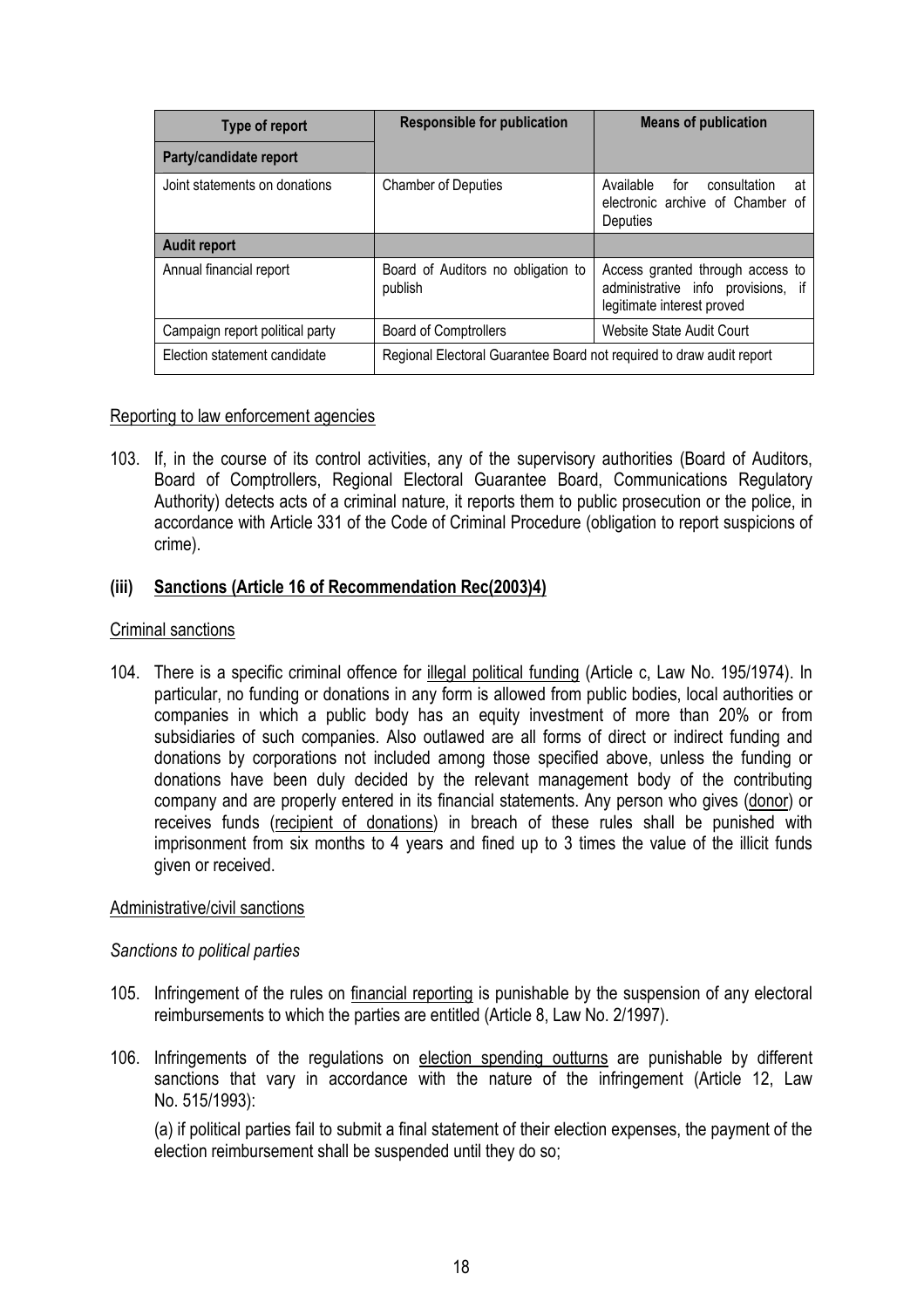| Type of report                  | <b>Responsible for publication</b>                                   | <b>Means of publication</b>                                                                          |  |
|---------------------------------|----------------------------------------------------------------------|------------------------------------------------------------------------------------------------------|--|
| Party/candidate report          |                                                                      |                                                                                                      |  |
| Joint statements on donations   | <b>Chamber of Deputies</b>                                           | Available for<br>consultation<br>at<br>electronic archive of Chamber of<br>Deputies                  |  |
| <b>Audit report</b>             |                                                                      |                                                                                                      |  |
| Annual financial report         | Board of Auditors no obligation to<br>publish                        | Access granted through access to<br>administrative info provisions, if<br>legitimate interest proved |  |
| Campaign report political party | <b>Board of Comptrollers</b>                                         | Website State Audit Court                                                                            |  |
| Election statement candidate    | Regional Electoral Guarantee Board not required to draw audit report |                                                                                                      |  |

# Reporting to law enforcement agencies

103. If, in the course of its control activities, any of the supervisory authorities (Board of Auditors, Board of Comptrollers, Regional Electoral Guarantee Board, Communications Regulatory Authority) detects acts of a criminal nature, it reports them to public prosecution or the police, in accordance with Article 331 of the Code of Criminal Procedure (obligation to report suspicions of crime).

# **(iii) Sanctions (Article 16 of Recommendation Rec(2003)4)**

# Criminal sanctions

104. There is a specific criminal offence for illegal political funding (Article c, Law No. 195/1974). In particular, no funding or donations in any form is allowed from public bodies, local authorities or companies in which a public body has an equity investment of more than 20% or from subsidiaries of such companies. Also outlawed are all forms of direct or indirect funding and donations by corporations not included among those specified above, unless the funding or donations have been duly decided by the relevant management body of the contributing company and are properly entered in its financial statements. Any person who gives (donor) or receives funds (recipient of donations) in breach of these rules shall be punished with imprisonment from six months to 4 years and fined up to 3 times the value of the illicit funds given or received.

# Administrative/civil sanctions

# *Sanctions to political parties*

- 105. Infringement of the rules on financial reporting is punishable by the suspension of any electoral reimbursements to which the parties are entitled (Article 8, Law No. 2/1997).
- 106. Infringements of the regulations on election spending outturns are punishable by different sanctions that vary in accordance with the nature of the infringement (Article 12, Law No. 515/1993):

(a) if political parties fail to submit a final statement of their election expenses, the payment of the election reimbursement shall be suspended until they do so;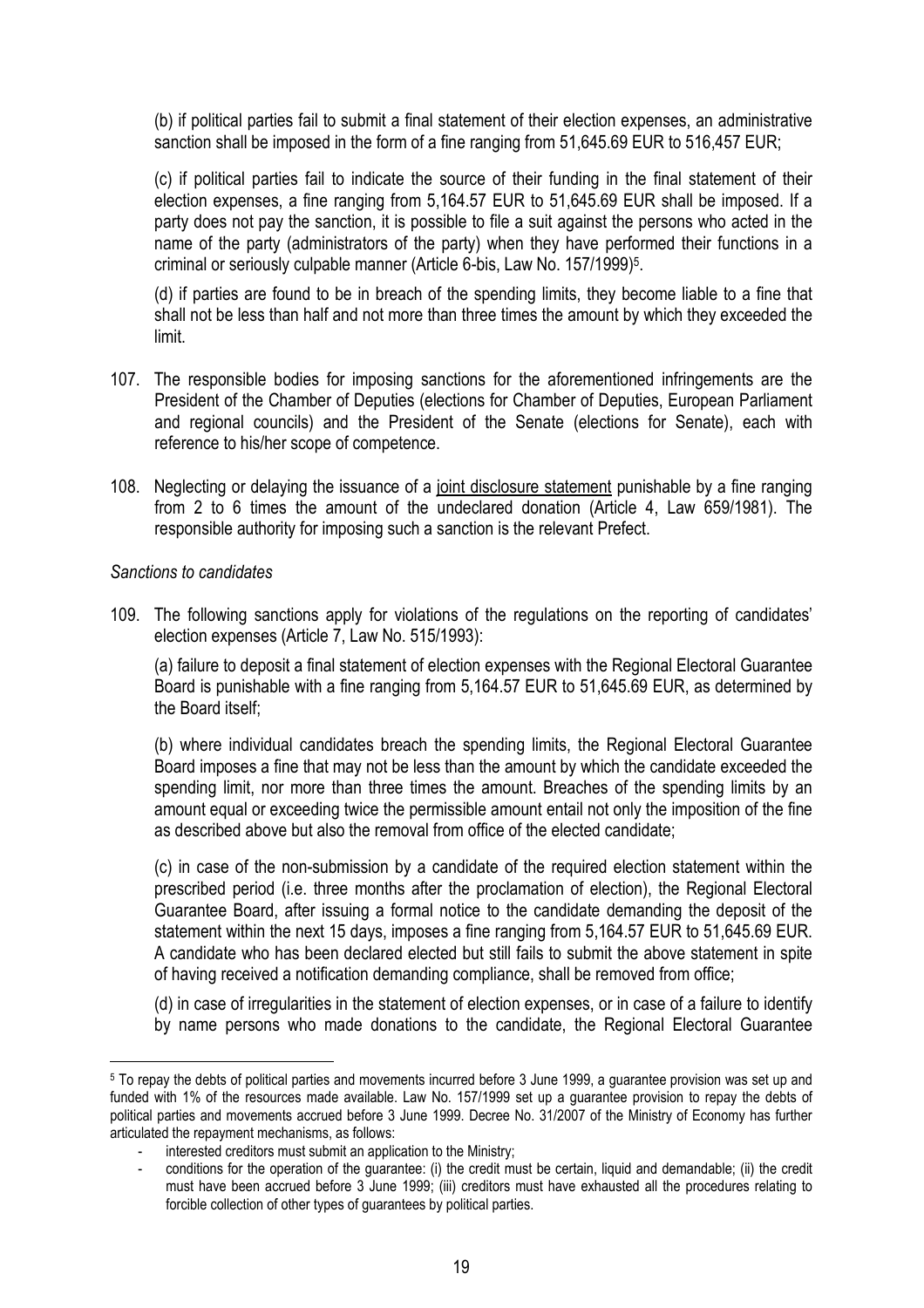(b) if political parties fail to submit a final statement of their election expenses, an administrative sanction shall be imposed in the form of a fine ranging from 51,645.69 EUR to 516,457 EUR;

(c) if political parties fail to indicate the source of their funding in the final statement of their election expenses, a fine ranging from 5,164.57 EUR to 51,645.69 EUR shall be imposed. If a party does not pay the sanction, it is possible to file a suit against the persons who acted in the name of the party (administrators of the party) when they have performed their functions in a criminal or seriously culpable manner (Article 6-bis, Law No. 157/1999)<sup>5</sup>.

(d) if parties are found to be in breach of the spending limits, they become liable to a fine that shall not be less than half and not more than three times the amount by which they exceeded the limit.

- 107. The responsible bodies for imposing sanctions for the aforementioned infringements are the President of the Chamber of Deputies (elections for Chamber of Deputies, European Parliament and regional councils) and the President of the Senate (elections for Senate), each with reference to his/her scope of competence.
- 108. Neglecting or delaying the issuance of a joint disclosure statement punishable by a fine ranging from 2 to 6 times the amount of the undeclared donation (Article 4, Law 659/1981). The responsible authority for imposing such a sanction is the relevant Prefect.

# *Sanctions to candidates*

 $\overline{a}$ 

109. The following sanctions apply for violations of the regulations on the reporting of candidates' election expenses (Article 7, Law No. 515/1993):

(a) failure to deposit a final statement of election expenses with the Regional Electoral Guarantee Board is punishable with a fine ranging from 5,164.57 EUR to 51,645.69 EUR, as determined by the Board itself;

(b) where individual candidates breach the spending limits, the Regional Electoral Guarantee Board imposes a fine that may not be less than the amount by which the candidate exceeded the spending limit, nor more than three times the amount. Breaches of the spending limits by an amount equal or exceeding twice the permissible amount entail not only the imposition of the fine as described above but also the removal from office of the elected candidate;

(c) in case of the non-submission by a candidate of the required election statement within the prescribed period (i.e. three months after the proclamation of election), the Regional Electoral Guarantee Board, after issuing a formal notice to the candidate demanding the deposit of the statement within the next 15 days, imposes a fine ranging from 5,164.57 EUR to 51,645.69 EUR. A candidate who has been declared elected but still fails to submit the above statement in spite of having received a notification demanding compliance, shall be removed from office;

(d) in case of irregularities in the statement of election expenses, or in case of a failure to identify by name persons who made donations to the candidate, the Regional Electoral Guarantee

<sup>5</sup> To repay the debts of political parties and movements incurred before 3 June 1999, a guarantee provision was set up and funded with 1% of the resources made available. Law No. 157/1999 set up a guarantee provision to repay the debts of political parties and movements accrued before 3 June 1999. Decree No. 31/2007 of the Ministry of Economy has further articulated the repayment mechanisms, as follows:

<sup>-</sup> interested creditors must submit an application to the Ministry;

<sup>-</sup> conditions for the operation of the guarantee: (i) the credit must be certain, liquid and demandable; (ii) the credit must have been accrued before 3 June 1999; (iii) creditors must have exhausted all the procedures relating to forcible collection of other types of guarantees by political parties.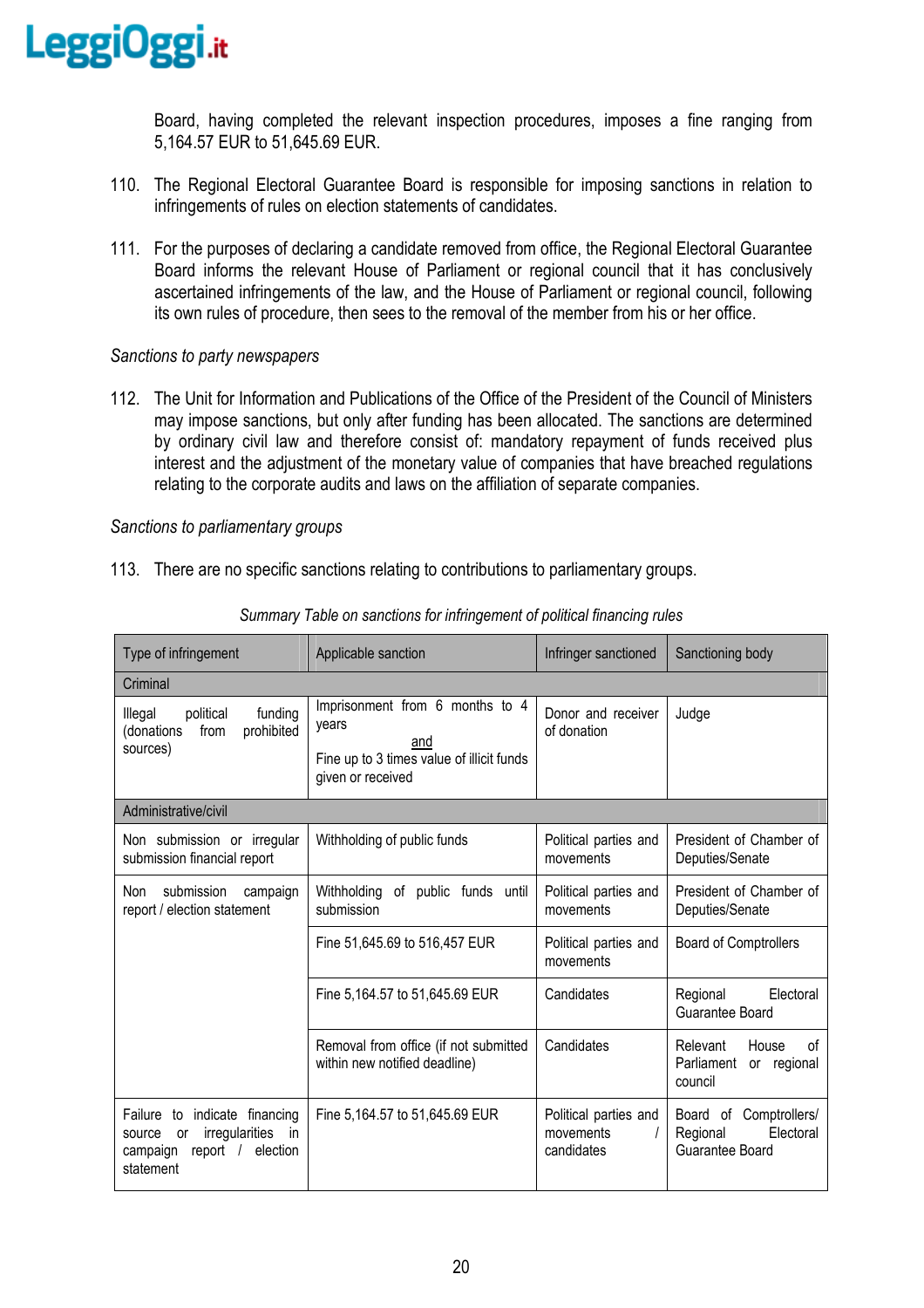

Board, having completed the relevant inspection procedures, imposes a fine ranging from 5,164.57 EUR to 51,645.69 EUR.

- 110. The Regional Electoral Guarantee Board is responsible for imposing sanctions in relation to infringements of rules on election statements of candidates.
- 111. For the purposes of declaring a candidate removed from office, the Regional Electoral Guarantee Board informs the relevant House of Parliament or regional council that it has conclusively ascertained infringements of the law, and the House of Parliament or regional council, following its own rules of procedure, then sees to the removal of the member from his or her office.

# *Sanctions to party newspapers*

112. The Unit for Information and Publications of the Office of the President of the Council of Ministers may impose sanctions, but only after funding has been allocated. The sanctions are determined by ordinary civil law and therefore consist of: mandatory repayment of funds received plus interest and the adjustment of the monetary value of companies that have breached regulations relating to the corporate audits and laws on the affiliation of separate companies.

#### *Sanctions to parliamentary groups*

113. There are no specific sanctions relating to contributions to parliamentary groups.

| Type of infringement                                                                                                                         | Applicable sanction                                                                                               | Infringer sanctioned                             | Sanctioning body                                                           |  |
|----------------------------------------------------------------------------------------------------------------------------------------------|-------------------------------------------------------------------------------------------------------------------|--------------------------------------------------|----------------------------------------------------------------------------|--|
| Criminal                                                                                                                                     |                                                                                                                   |                                                  |                                                                            |  |
| Illegal<br>political<br>funding<br>prohibited<br>(donations<br>from<br>sources)                                                              | Imprisonment from 6 months to 4<br>years<br>and<br>Fine up to 3 times value of illicit funds<br>given or received | Donor and receiver<br>of donation                | Judge                                                                      |  |
| Administrative/civil                                                                                                                         |                                                                                                                   |                                                  |                                                                            |  |
| Non submission or irregular<br>submission financial report                                                                                   | Withholding of public funds                                                                                       | Political parties and<br>movements               | President of Chamber of<br>Deputies/Senate                                 |  |
| submission<br>Non<br>campaign<br>report / election statement                                                                                 | Withholding<br>of public funds until<br>submission                                                                | Political parties and<br>movements               | President of Chamber of<br>Deputies/Senate                                 |  |
|                                                                                                                                              | Fine 51,645.69 to 516,457 EUR                                                                                     | Political parties and<br>movements               | <b>Board of Comptrollers</b>                                               |  |
|                                                                                                                                              | Fine 5,164.57 to 51,645.69 EUR                                                                                    | Candidates                                       | Electoral<br>Regional<br>Guarantee Board                                   |  |
|                                                                                                                                              | Removal from office (if not submitted<br>within new notified deadline)                                            | Candidates                                       | Relevant<br>House<br><sub>of</sub><br>Parliament<br>or regional<br>council |  |
| indicate financing<br>Failure<br>to<br>irregularities<br><i>in</i><br>source<br><b>or</b><br>report $/$<br>election<br>campaign<br>statement | Fine 5,164.57 to 51,645.69 EUR                                                                                    | Political parties and<br>movements<br>candidates | Board of Comptrollers/<br>Electoral<br>Regional<br>Guarantee Board         |  |

*Summary Table on sanctions for infringement of political financing rules*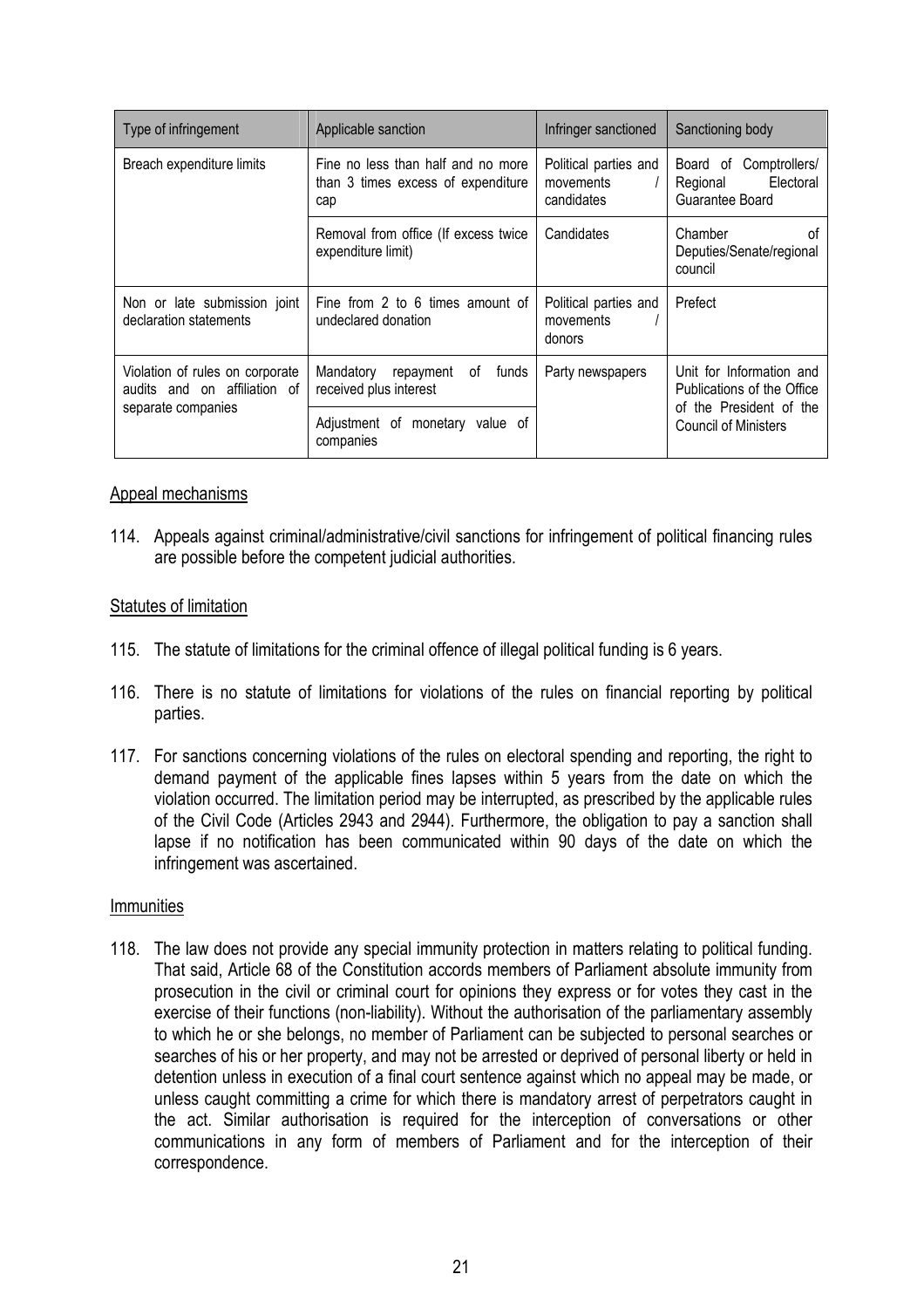| Type of infringement                                            | Applicable sanction                                                             | Infringer sanctioned                             | Sanctioning body                                                      |
|-----------------------------------------------------------------|---------------------------------------------------------------------------------|--------------------------------------------------|-----------------------------------------------------------------------|
| Breach expenditure limits                                       | Fine no less than half and no more<br>than 3 times excess of expenditure<br>cap | Political parties and<br>movements<br>candidates | Board of<br>Comptrollers/<br>Electoral<br>Regional<br>Guarantee Board |
|                                                                 | Removal from office (If excess twice<br>expenditure limit)                      | Candidates                                       | Chamber<br>0f<br>Deputies/Senate/regional<br>council                  |
| Non or late submission joint<br>declaration statements          | Fine from 2 to 6 times amount of<br>undeclared donation                         | Political parties and<br>movements<br>donors     | Prefect                                                               |
| Violation of rules on corporate<br>audits and on affiliation of | Mandatory<br>repayment<br>funds<br>of<br>received plus interest                 | Party newspapers                                 | Unit for Information and<br>Publications of the Office                |
| separate companies                                              | Adjustment of monetary<br>value of<br>companies                                 |                                                  | of the President of the<br><b>Council of Ministers</b>                |

# Appeal mechanisms

114. Appeals against criminal/administrative/civil sanctions for infringement of political financing rules are possible before the competent judicial authorities.

# Statutes of limitation

- 115. The statute of limitations for the criminal offence of illegal political funding is 6 years.
- 116. There is no statute of limitations for violations of the rules on financial reporting by political parties.
- 117. For sanctions concerning violations of the rules on electoral spending and reporting, the right to demand payment of the applicable fines lapses within 5 years from the date on which the violation occurred. The limitation period may be interrupted, as prescribed by the applicable rules of the Civil Code (Articles 2943 and 2944). Furthermore, the obligation to pay a sanction shall lapse if no notification has been communicated within 90 days of the date on which the infringement was ascertained.

# Immunities

118. The law does not provide any special immunity protection in matters relating to political funding. That said, Article 68 of the Constitution accords members of Parliament absolute immunity from prosecution in the civil or criminal court for opinions they express or for votes they cast in the exercise of their functions (non-liability). Without the authorisation of the parliamentary assembly to which he or she belongs, no member of Parliament can be subjected to personal searches or searches of his or her property, and may not be arrested or deprived of personal liberty or held in detention unless in execution of a final court sentence against which no appeal may be made, or unless caught committing a crime for which there is mandatory arrest of perpetrators caught in the act. Similar authorisation is required for the interception of conversations or other communications in any form of members of Parliament and for the interception of their correspondence.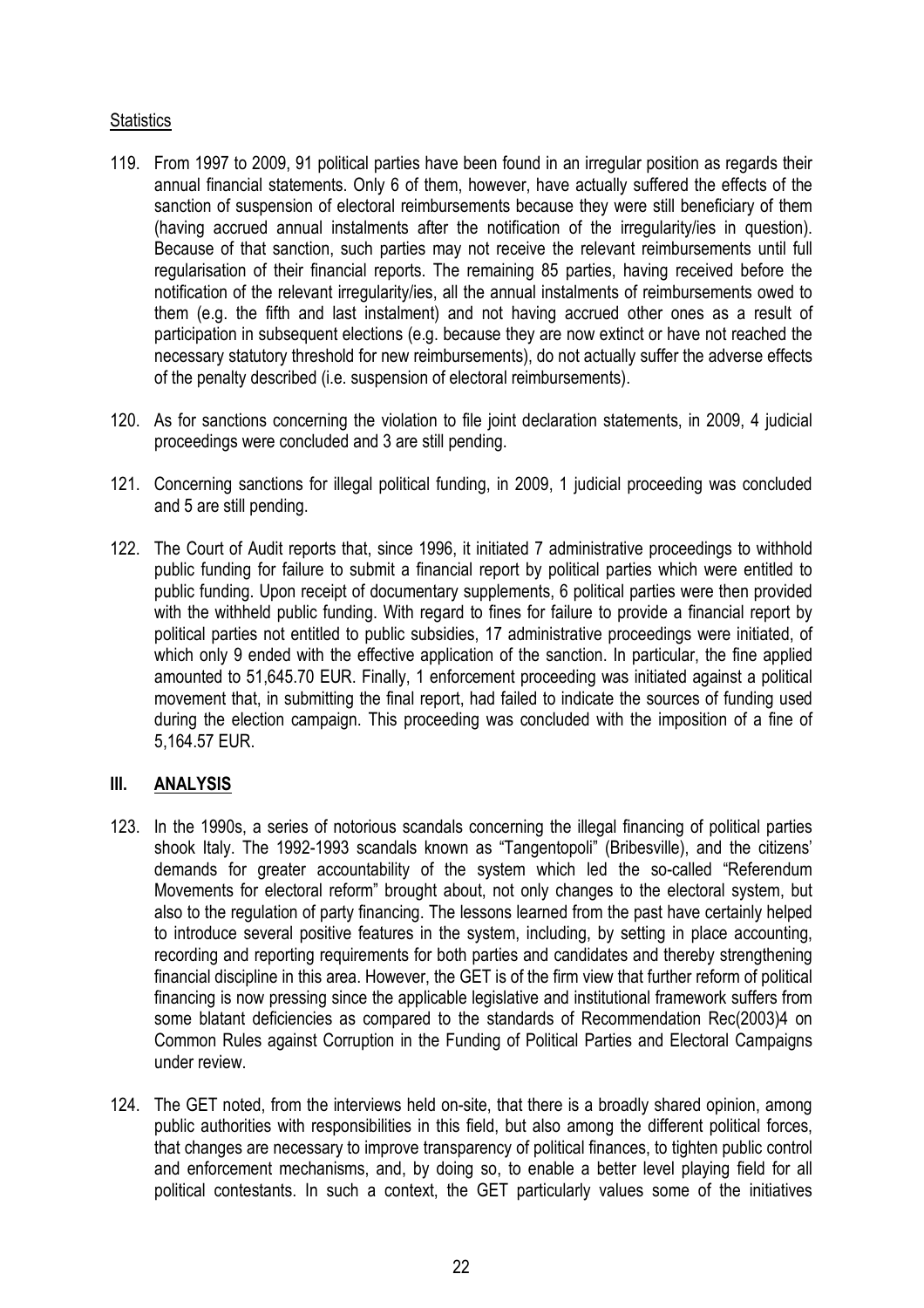# **Statistics**

- 119. From 1997 to 2009, 91 political parties have been found in an irregular position as regards their annual financial statements. Only 6 of them, however, have actually suffered the effects of the sanction of suspension of electoral reimbursements because they were still beneficiary of them (having accrued annual instalments after the notification of the irregularity/ies in question). Because of that sanction, such parties may not receive the relevant reimbursements until full regularisation of their financial reports. The remaining 85 parties, having received before the notification of the relevant irregularity/ies, all the annual instalments of reimbursements owed to them (e.g. the fifth and last instalment) and not having accrued other ones as a result of participation in subsequent elections (e.g. because they are now extinct or have not reached the necessary statutory threshold for new reimbursements), do not actually suffer the adverse effects of the penalty described (i.e. suspension of electoral reimbursements).
- 120. As for sanctions concerning the violation to file joint declaration statements, in 2009, 4 judicial proceedings were concluded and 3 are still pending.
- 121. Concerning sanctions for illegal political funding, in 2009, 1 judicial proceeding was concluded and 5 are still pending.
- 122. The Court of Audit reports that, since 1996, it initiated 7 administrative proceedings to withhold public funding for failure to submit a financial report by political parties which were entitled to public funding. Upon receipt of documentary supplements, 6 political parties were then provided with the withheld public funding. With regard to fines for failure to provide a financial report by political parties not entitled to public subsidies, 17 administrative proceedings were initiated, of which only 9 ended with the effective application of the sanction. In particular, the fine applied amounted to 51,645.70 EUR. Finally, 1 enforcement proceeding was initiated against a political movement that, in submitting the final report, had failed to indicate the sources of funding used during the election campaign. This proceeding was concluded with the imposition of a fine of 5,164.57 EUR.

# **III. ANALYSIS**

- 123. In the 1990s, a series of notorious scandals concerning the illegal financing of political parties shook Italy. The 1992-1993 scandals known as "Tangentopoli" (Bribesville), and the citizens' demands for greater accountability of the system which led the so-called "Referendum Movements for electoral reform" brought about, not only changes to the electoral system, but also to the regulation of party financing. The lessons learned from the past have certainly helped to introduce several positive features in the system, including, by setting in place accounting, recording and reporting requirements for both parties and candidates and thereby strengthening financial discipline in this area. However, the GET is of the firm view that further reform of political financing is now pressing since the applicable legislative and institutional framework suffers from some blatant deficiencies as compared to the standards of Recommendation Rec(2003)4 on Common Rules against Corruption in the Funding of Political Parties and Electoral Campaigns under review.
- 124. The GET noted, from the interviews held on-site, that there is a broadly shared opinion, among public authorities with responsibilities in this field, but also among the different political forces, that changes are necessary to improve transparency of political finances, to tighten public control and enforcement mechanisms, and, by doing so, to enable a better level playing field for all political contestants. In such a context, the GET particularly values some of the initiatives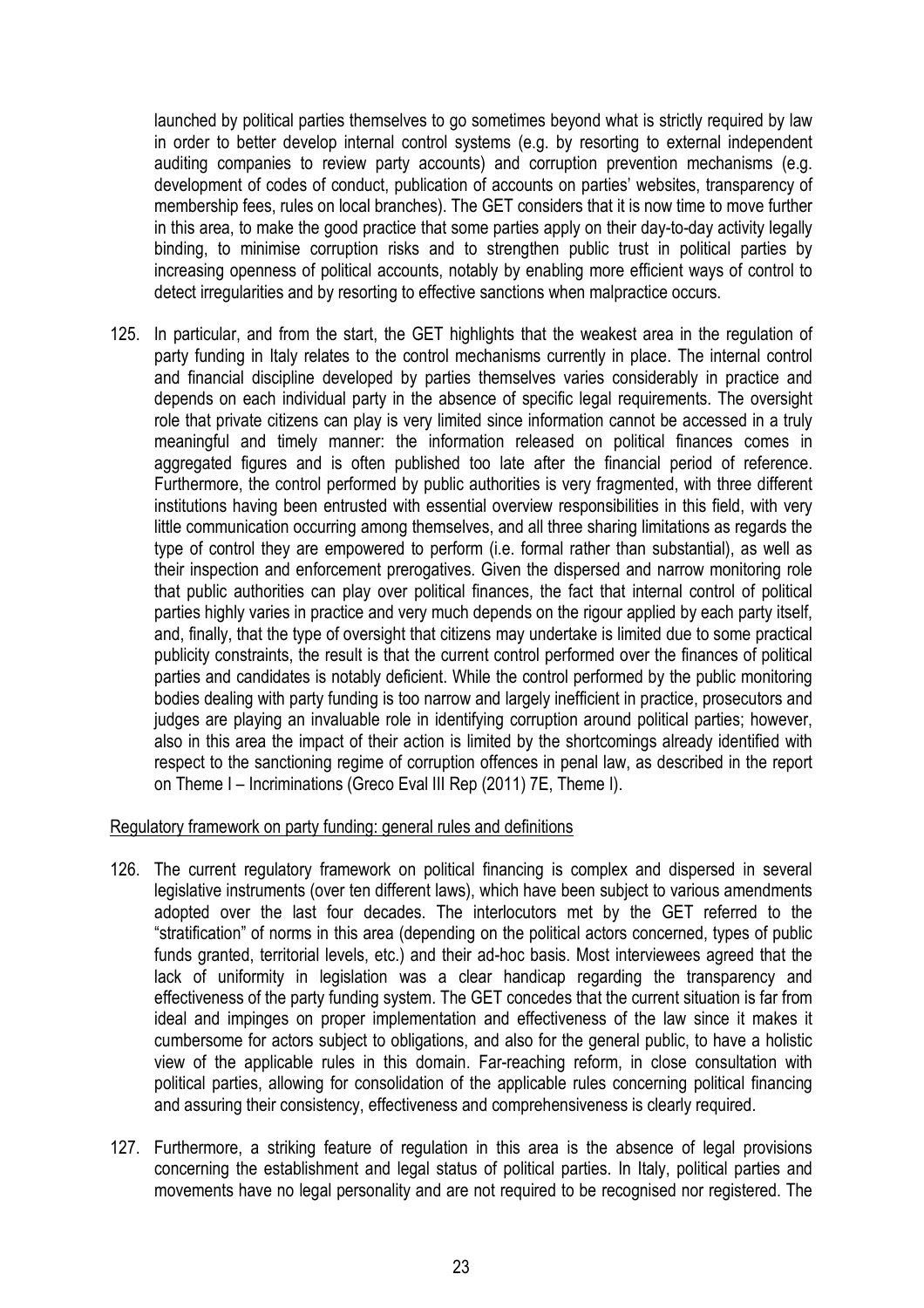launched by political parties themselves to go sometimes beyond what is strictly required by law in order to better develop internal control systems (e.g. by resorting to external independent auditing companies to review party accounts) and corruption prevention mechanisms (e.g. development of codes of conduct, publication of accounts on parties' websites, transparency of membership fees, rules on local branches). The GET considers that it is now time to move further in this area, to make the good practice that some parties apply on their day-to-day activity legally binding, to minimise corruption risks and to strengthen public trust in political parties by increasing openness of political accounts, notably by enabling more efficient ways of control to detect irregularities and by resorting to effective sanctions when malpractice occurs.

125. In particular, and from the start, the GET highlights that the weakest area in the regulation of party funding in Italy relates to the control mechanisms currently in place. The internal control and financial discipline developed by parties themselves varies considerably in practice and depends on each individual party in the absence of specific legal requirements. The oversight role that private citizens can play is very limited since information cannot be accessed in a truly meaningful and timely manner: the information released on political finances comes in aggregated figures and is often published too late after the financial period of reference. Furthermore, the control performed by public authorities is very fragmented, with three different institutions having been entrusted with essential overview responsibilities in this field, with very little communication occurring among themselves, and all three sharing limitations as regards the type of control they are empowered to perform (i.e. formal rather than substantial), as well as their inspection and enforcement prerogatives. Given the dispersed and narrow monitoring role that public authorities can play over political finances, the fact that internal control of political parties highly varies in practice and very much depends on the rigour applied by each party itself, and, finally, that the type of oversight that citizens may undertake is limited due to some practical publicity constraints, the result is that the current control performed over the finances of political parties and candidates is notably deficient. While the control performed by the public monitoring bodies dealing with party funding is too narrow and largely inefficient in practice, prosecutors and judges are playing an invaluable role in identifying corruption around political parties; however, also in this area the impact of their action is limited by the shortcomings already identified with respect to the sanctioning regime of corruption offences in penal law, as described in the report on Theme I – Incriminations (Greco Eval III Rep (2011) 7E, Theme I).

# Regulatory framework on party funding: general rules and definitions

- 126. The current regulatory framework on political financing is complex and dispersed in several legislative instruments (over ten different laws), which have been subject to various amendments adopted over the last four decades. The interlocutors met by the GET referred to the "stratification" of norms in this area (depending on the political actors concerned, types of public funds granted, territorial levels, etc.) and their ad-hoc basis. Most interviewees agreed that the lack of uniformity in legislation was a clear handicap regarding the transparency and effectiveness of the party funding system. The GET concedes that the current situation is far from ideal and impinges on proper implementation and effectiveness of the law since it makes it cumbersome for actors subject to obligations, and also for the general public, to have a holistic view of the applicable rules in this domain. Far-reaching reform, in close consultation with political parties, allowing for consolidation of the applicable rules concerning political financing and assuring their consistency, effectiveness and comprehensiveness is clearly required.
- 127. Furthermore, a striking feature of regulation in this area is the absence of legal provisions concerning the establishment and legal status of political parties. In Italy, political parties and movements have no legal personality and are not required to be recognised nor registered. The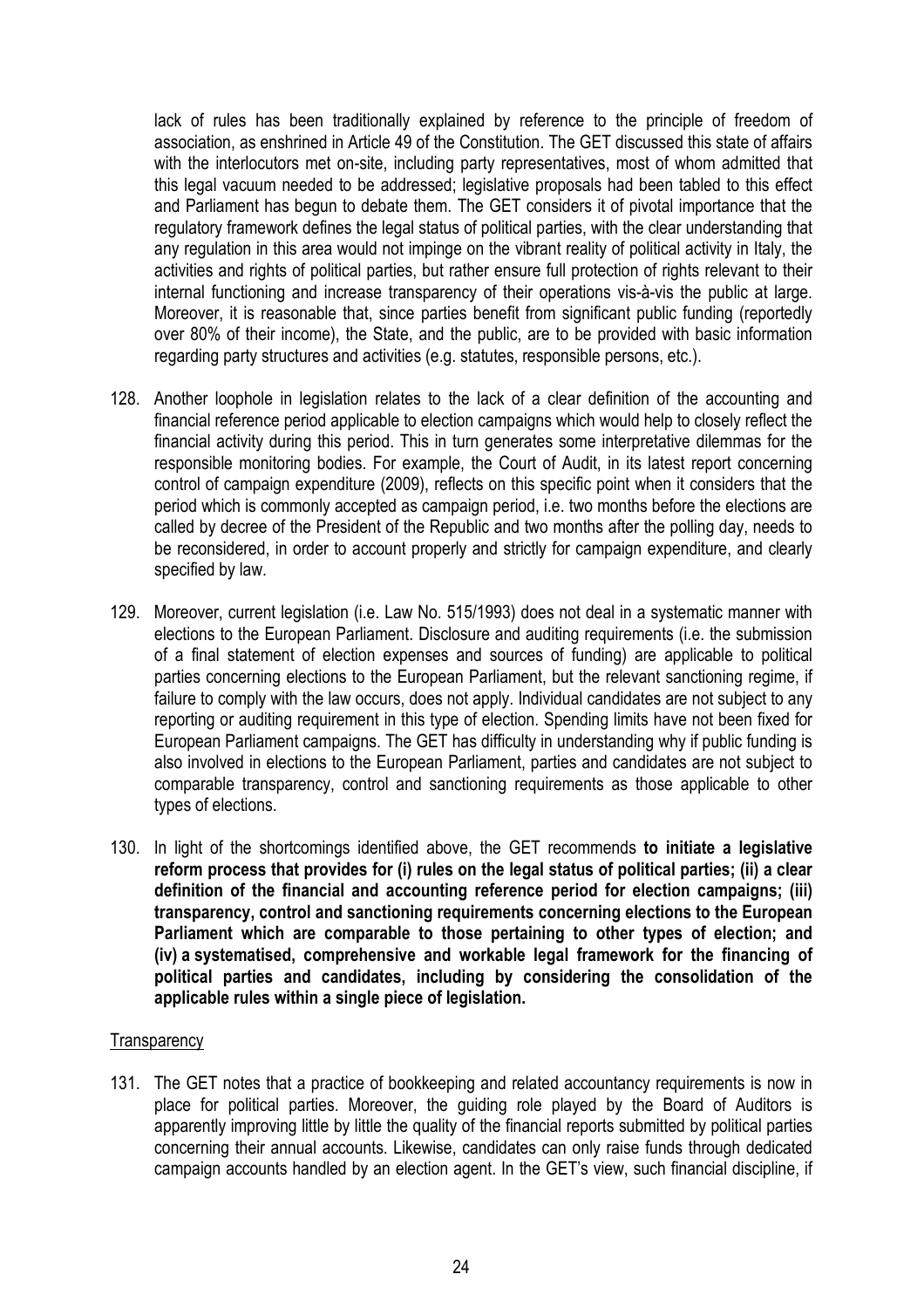lack of rules has been traditionally explained by reference to the principle of freedom of association, as enshrined in Article 49 of the Constitution. The GET discussed this state of affairs with the interlocutors met on-site, including party representatives, most of whom admitted that this legal vacuum needed to be addressed; legislative proposals had been tabled to this effect and Parliament has begun to debate them. The GET considers it of pivotal importance that the regulatory framework defines the legal status of political parties, with the clear understanding that any regulation in this area would not impinge on the vibrant reality of political activity in Italy, the activities and rights of political parties, but rather ensure full protection of rights relevant to their internal functioning and increase transparency of their operations vis-à-vis the public at large. Moreover, it is reasonable that, since parties benefit from significant public funding (reportedly over 80% of their income), the State, and the public, are to be provided with basic information regarding party structures and activities (e.g. statutes, responsible persons, etc.).

- 128. Another loophole in legislation relates to the lack of a clear definition of the accounting and financial reference period applicable to election campaigns which would help to closely reflect the financial activity during this period. This in turn generates some interpretative dilemmas for the responsible monitoring bodies. For example, the Court of Audit, in its latest report concerning control of campaign expenditure (2009), reflects on this specific point when it considers that the period which is commonly accepted as campaign period, i.e. two months before the elections are called by decree of the President of the Republic and two months after the polling day, needs to be reconsidered, in order to account properly and strictly for campaign expenditure, and clearly specified by law.
- 129. Moreover, current legislation (i.e. Law No. 515/1993) does not deal in a systematic manner with elections to the European Parliament. Disclosure and auditing requirements (i.e. the submission of a final statement of election expenses and sources of funding) are applicable to political parties concerning elections to the European Parliament, but the relevant sanctioning regime, if failure to comply with the law occurs, does not apply. Individual candidates are not subject to any reporting or auditing requirement in this type of election. Spending limits have not been fixed for European Parliament campaigns. The GET has difficulty in understanding why if public funding is also involved in elections to the European Parliament, parties and candidates are not subject to comparable transparency, control and sanctioning requirements as those applicable to other types of elections.
- 130. In light of the shortcomings identified above, the GET recommends **to initiate a legislative reform process that provides for (i) rules on the legal status of political parties; (ii) a clear definition of the financial and accounting reference period for election campaigns; (iii) transparency, control and sanctioning requirements concerning elections to the European Parliament which are comparable to those pertaining to other types of election; and (iv) a systematised, comprehensive and workable legal framework for the financing of political parties and candidates, including by considering the consolidation of the applicable rules within a single piece of legislation.**

# **Transparency**

131. The GET notes that a practice of bookkeeping and related accountancy requirements is now in place for political parties. Moreover, the guiding role played by the Board of Auditors is apparently improving little by little the quality of the financial reports submitted by political parties concerning their annual accounts. Likewise, candidates can only raise funds through dedicated campaign accounts handled by an election agent. In the GET's view, such financial discipline, if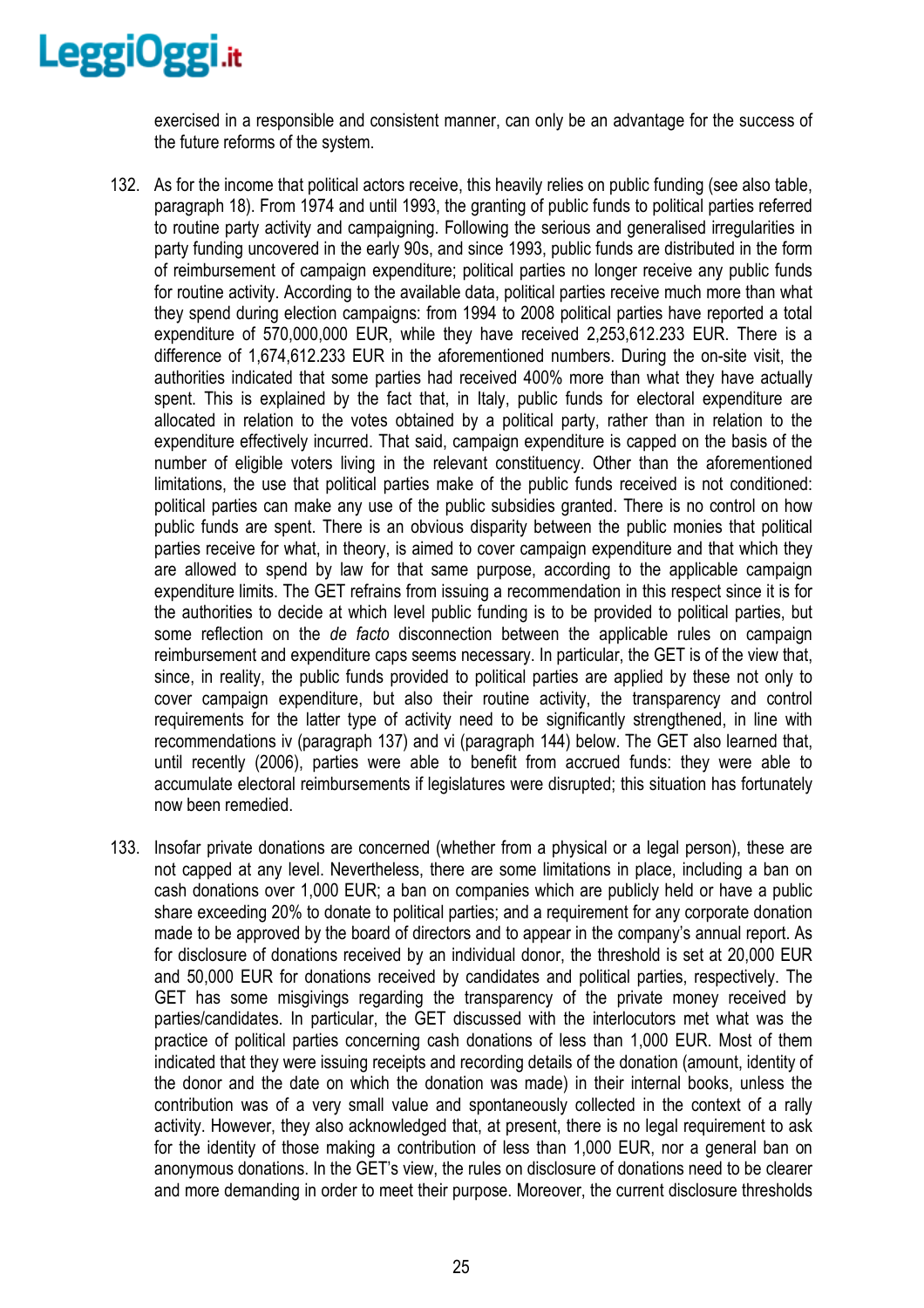exercised in a responsible and consistent manner, can only be an advantage for the success of the future reforms of the system.

- 132. As for the income that political actors receive, this heavily relies on public funding (see also table, paragraph 18). From 1974 and until 1993, the granting of public funds to political parties referred to routine party activity and campaigning. Following the serious and generalised irregularities in party funding uncovered in the early 90s, and since 1993, public funds are distributed in the form of reimbursement of campaign expenditure; political parties no longer receive any public funds for routine activity. According to the available data, political parties receive much more than what they spend during election campaigns: from 1994 to 2008 political parties have reported a total expenditure of 570,000,000 EUR, while they have received 2,253,612.233 EUR. There is a difference of 1,674,612.233 EUR in the aforementioned numbers. During the on-site visit, the authorities indicated that some parties had received 400% more than what they have actually spent. This is explained by the fact that, in Italy, public funds for electoral expenditure are allocated in relation to the votes obtained by a political party, rather than in relation to the expenditure effectively incurred. That said, campaign expenditure is capped on the basis of the number of eligible voters living in the relevant constituency. Other than the aforementioned limitations, the use that political parties make of the public funds received is not conditioned: political parties can make any use of the public subsidies granted. There is no control on how public funds are spent. There is an obvious disparity between the public monies that political parties receive for what, in theory, is aimed to cover campaign expenditure and that which they are allowed to spend by law for that same purpose, according to the applicable campaign expenditure limits. The GET refrains from issuing a recommendation in this respect since it is for the authorities to decide at which level public funding is to be provided to political parties, but some reflection on the *de facto* disconnection between the applicable rules on campaign reimbursement and expenditure caps seems necessary. In particular, the GET is of the view that, since, in reality, the public funds provided to political parties are applied by these not only to cover campaign expenditure, but also their routine activity, the transparency and control requirements for the latter type of activity need to be significantly strengthened, in line with recommendations iv (paragraph 137) and vi (paragraph 144) below. The GET also learned that, until recently (2006), parties were able to benefit from accrued funds: they were able to accumulate electoral reimbursements if legislatures were disrupted; this situation has fortunately now been remedied.
- 133. Insofar private donations are concerned (whether from a physical or a legal person), these are not capped at any level. Nevertheless, there are some limitations in place, including a ban on cash donations over 1,000 EUR; a ban on companies which are publicly held or have a public share exceeding 20% to donate to political parties; and a requirement for any corporate donation made to be approved by the board of directors and to appear in the company's annual report. As for disclosure of donations received by an individual donor, the threshold is set at 20,000 EUR and 50,000 EUR for donations received by candidates and political parties, respectively. The GET has some misgivings regarding the transparency of the private money received by parties/candidates. In particular, the GET discussed with the interlocutors met what was the practice of political parties concerning cash donations of less than 1,000 EUR. Most of them indicated that they were issuing receipts and recording details of the donation (amount, identity of the donor and the date on which the donation was made) in their internal books, unless the contribution was of a very small value and spontaneously collected in the context of a rally activity. However, they also acknowledged that, at present, there is no legal requirement to ask for the identity of those making a contribution of less than 1,000 EUR, nor a general ban on anonymous donations. In the GET's view, the rules on disclosure of donations need to be clearer and more demanding in order to meet their purpose. Moreover, the current disclosure thresholds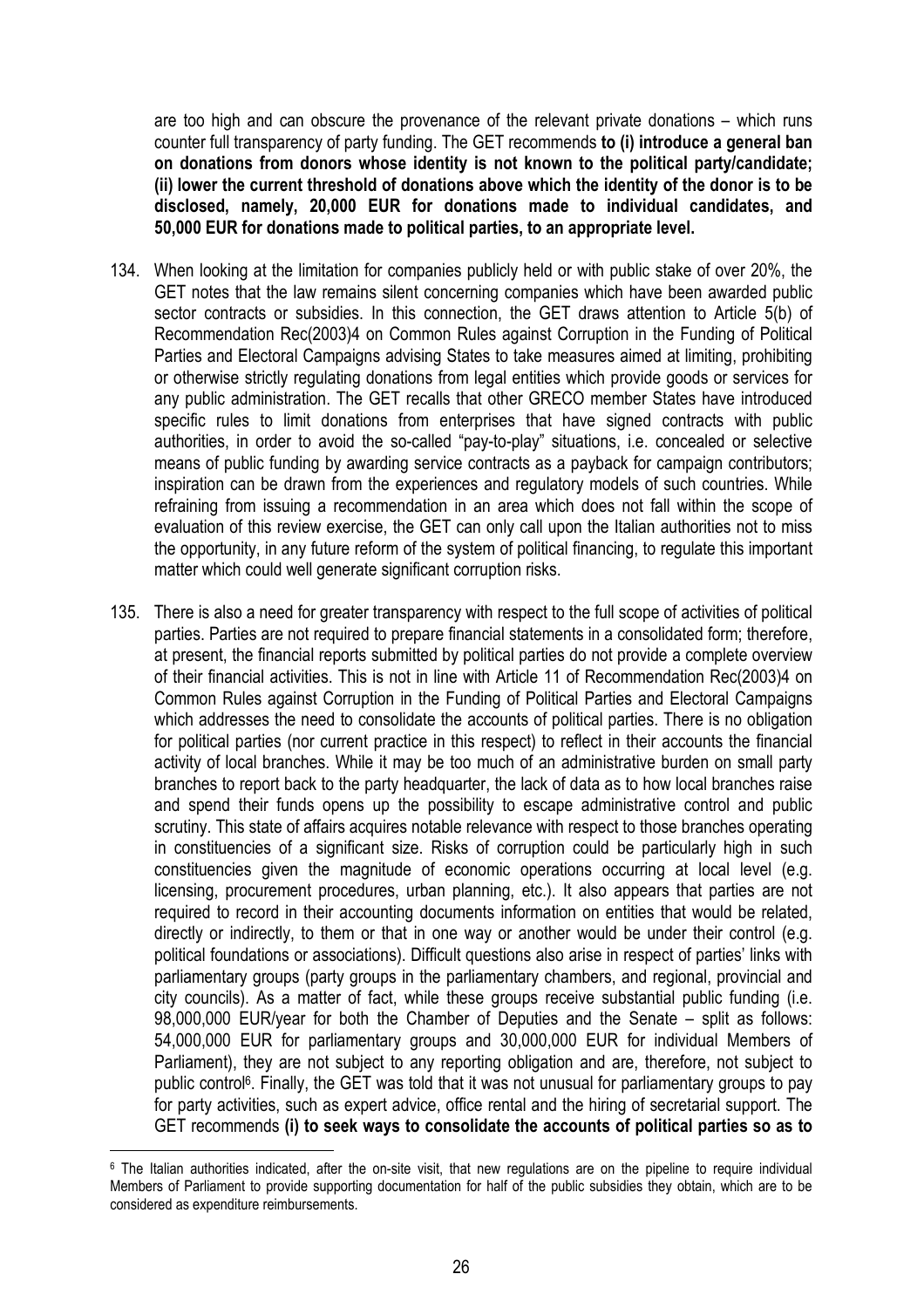are too high and can obscure the provenance of the relevant private donations – which runs counter full transparency of party funding. The GET recommends **to (i) introduce a general ban on donations from donors whose identity is not known to the political party/candidate; (ii) lower the current threshold of donations above which the identity of the donor is to be disclosed, namely, 20,000 EUR for donations made to individual candidates, and 50,000 EUR for donations made to political parties, to an appropriate level.** 

- 134. When looking at the limitation for companies publicly held or with public stake of over 20%, the GET notes that the law remains silent concerning companies which have been awarded public sector contracts or subsidies. In this connection, the GET draws attention to Article 5(b) of Recommendation Rec(2003)4 on Common Rules against Corruption in the Funding of Political Parties and Electoral Campaigns advising States to take measures aimed at limiting, prohibiting or otherwise strictly regulating donations from legal entities which provide goods or services for any public administration. The GET recalls that other GRECO member States have introduced specific rules to limit donations from enterprises that have signed contracts with public authorities, in order to avoid the so-called "pay-to-play" situations, i.e. concealed or selective means of public funding by awarding service contracts as a payback for campaign contributors; inspiration can be drawn from the experiences and regulatory models of such countries. While refraining from issuing a recommendation in an area which does not fall within the scope of evaluation of this review exercise, the GET can only call upon the Italian authorities not to miss the opportunity, in any future reform of the system of political financing, to regulate this important matter which could well generate significant corruption risks.
- 135. There is also a need for greater transparency with respect to the full scope of activities of political parties. Parties are not required to prepare financial statements in a consolidated form; therefore, at present, the financial reports submitted by political parties do not provide a complete overview of their financial activities. This is not in line with Article 11 of Recommendation Rec(2003)4 on Common Rules against Corruption in the Funding of Political Parties and Electoral Campaigns which addresses the need to consolidate the accounts of political parties. There is no obligation for political parties (nor current practice in this respect) to reflect in their accounts the financial activity of local branches. While it may be too much of an administrative burden on small party branches to report back to the party headquarter, the lack of data as to how local branches raise and spend their funds opens up the possibility to escape administrative control and public scrutiny. This state of affairs acquires notable relevance with respect to those branches operating in constituencies of a significant size. Risks of corruption could be particularly high in such constituencies given the magnitude of economic operations occurring at local level (e.g. licensing, procurement procedures, urban planning, etc.). It also appears that parties are not required to record in their accounting documents information on entities that would be related, directly or indirectly, to them or that in one way or another would be under their control (e.g. political foundations or associations). Difficult questions also arise in respect of parties' links with parliamentary groups (party groups in the parliamentary chambers, and regional, provincial and city councils). As a matter of fact, while these groups receive substantial public funding (i.e. 98,000,000 EUR/year for both the Chamber of Deputies and the Senate – split as follows: 54,000,000 EUR for parliamentary groups and 30,000,000 EUR for individual Members of Parliament), they are not subject to any reporting obligation and are, therefore, not subject to public control<sup>6</sup>. Finally, the GET was told that it was not unusual for parliamentary groups to pay for party activities, such as expert advice, office rental and the hiring of secretarial support. The GET recommends **(i) to seek ways to consolidate the accounts of political parties so as to**

 $\overline{a}$ 

<sup>6</sup> The Italian authorities indicated, after the on-site visit, that new regulations are on the pipeline to require individual Members of Parliament to provide supporting documentation for half of the public subsidies they obtain, which are to be considered as expenditure reimbursements.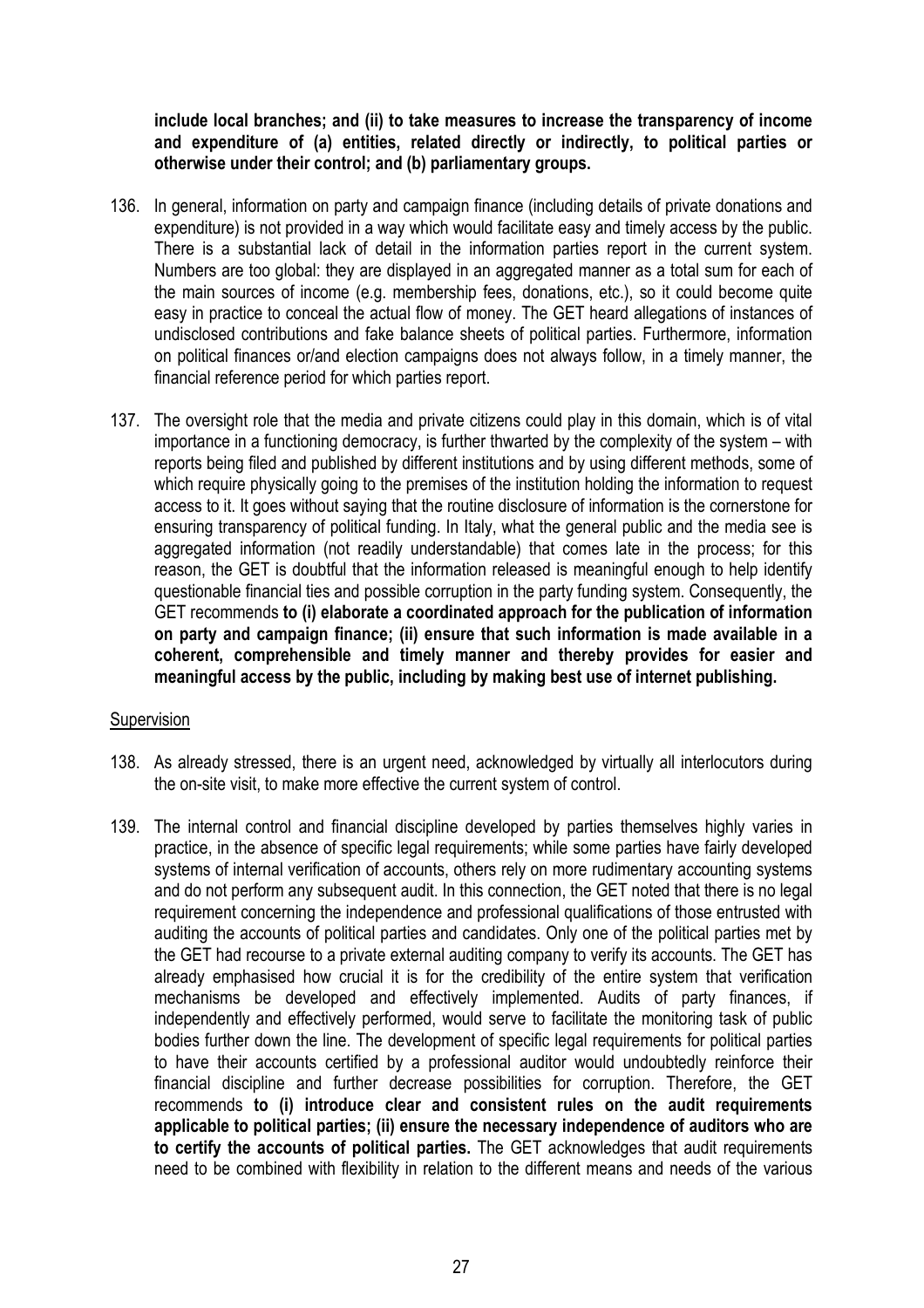**include local branches; and (ii) to take measures to increase the transparency of income and expenditure of (a) entities, related directly or indirectly, to political parties or otherwise under their control; and (b) parliamentary groups.**

- 136. In general, information on party and campaign finance (including details of private donations and expenditure) is not provided in a way which would facilitate easy and timely access by the public. There is a substantial lack of detail in the information parties report in the current system. Numbers are too global: they are displayed in an aggregated manner as a total sum for each of the main sources of income (e.g. membership fees, donations, etc.), so it could become quite easy in practice to conceal the actual flow of money. The GET heard allegations of instances of undisclosed contributions and fake balance sheets of political parties. Furthermore, information on political finances or/and election campaigns does not always follow, in a timely manner, the financial reference period for which parties report.
- 137. The oversight role that the media and private citizens could play in this domain, which is of vital importance in a functioning democracy, is further thwarted by the complexity of the system – with reports being filed and published by different institutions and by using different methods, some of which require physically going to the premises of the institution holding the information to request access to it. It goes without saying that the routine disclosure of information is the cornerstone for ensuring transparency of political funding. In Italy, what the general public and the media see is aggregated information (not readily understandable) that comes late in the process; for this reason, the GET is doubtful that the information released is meaningful enough to help identify questionable financial ties and possible corruption in the party funding system. Consequently, the GET recommends **to (i) elaborate a coordinated approach for the publication of information on party and campaign finance; (ii) ensure that such information is made available in a coherent, comprehensible and timely manner and thereby provides for easier and meaningful access by the public, including by making best use of internet publishing.**

# Supervision

- 138. As already stressed, there is an urgent need, acknowledged by virtually all interlocutors during the on-site visit, to make more effective the current system of control.
- 139. The internal control and financial discipline developed by parties themselves highly varies in practice, in the absence of specific legal requirements; while some parties have fairly developed systems of internal verification of accounts, others rely on more rudimentary accounting systems and do not perform any subsequent audit. In this connection, the GET noted that there is no legal requirement concerning the independence and professional qualifications of those entrusted with auditing the accounts of political parties and candidates. Only one of the political parties met by the GET had recourse to a private external auditing company to verify its accounts. The GET has already emphasised how crucial it is for the credibility of the entire system that verification mechanisms be developed and effectively implemented. Audits of party finances, if independently and effectively performed, would serve to facilitate the monitoring task of public bodies further down the line. The development of specific legal requirements for political parties to have their accounts certified by a professional auditor would undoubtedly reinforce their financial discipline and further decrease possibilities for corruption. Therefore, the GET recommends **to (i) introduce clear and consistent rules on the audit requirements applicable to political parties; (ii) ensure the necessary independence of auditors who are to certify the accounts of political parties.** The GET acknowledges that audit requirements need to be combined with flexibility in relation to the different means and needs of the various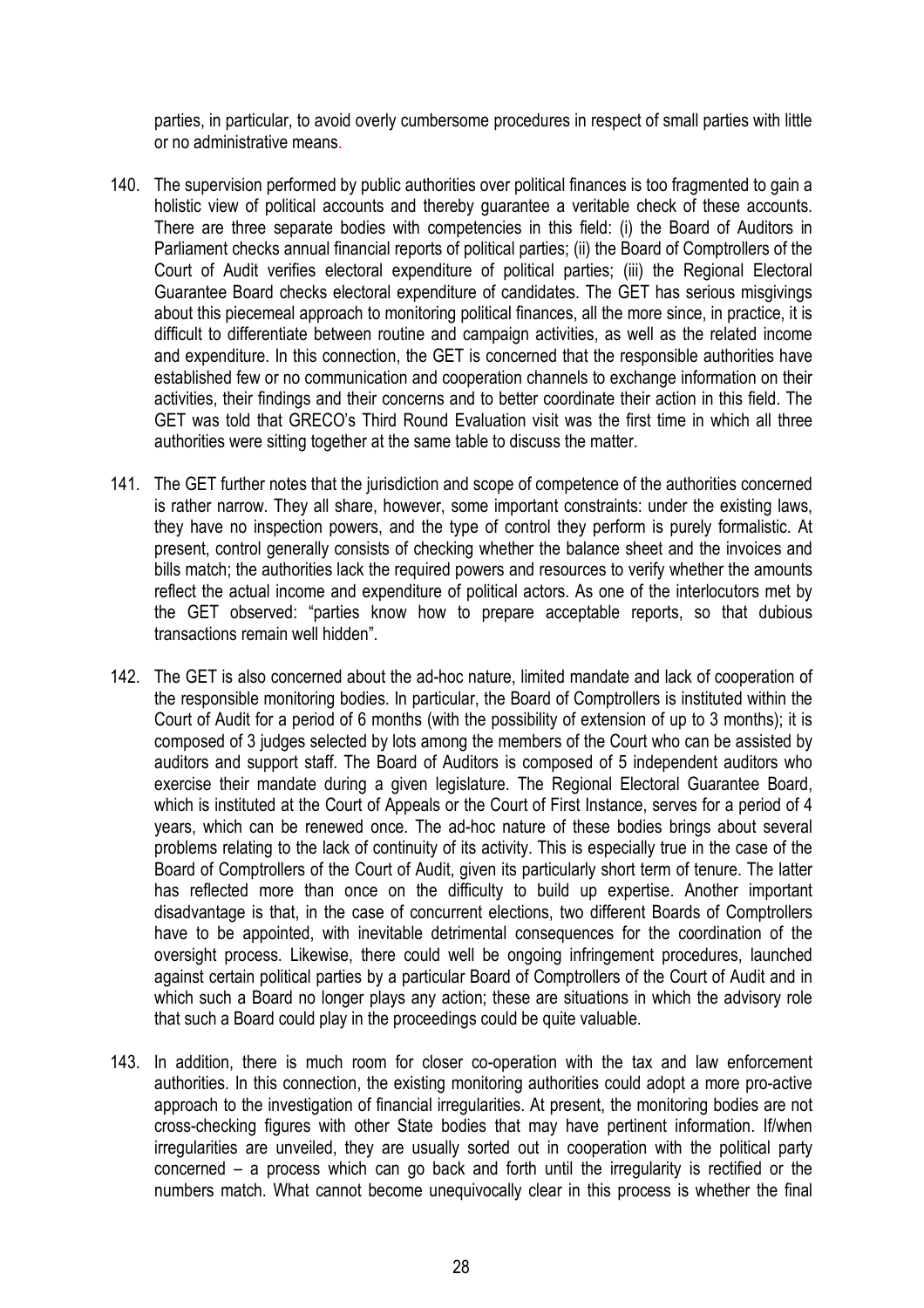parties, in particular, to avoid overly cumbersome procedures in respect of small parties with little or no administrative means.

- 140. The supervision performed by public authorities over political finances is too fragmented to gain a holistic view of political accounts and thereby guarantee a veritable check of these accounts. There are three separate bodies with competencies in this field: (i) the Board of Auditors in Parliament checks annual financial reports of political parties; (ii) the Board of Comptrollers of the Court of Audit verifies electoral expenditure of political parties; (iii) the Regional Electoral Guarantee Board checks electoral expenditure of candidates. The GET has serious misgivings about this piecemeal approach to monitoring political finances, all the more since, in practice, it is difficult to differentiate between routine and campaign activities, as well as the related income and expenditure. In this connection, the GET is concerned that the responsible authorities have established few or no communication and cooperation channels to exchange information on their activities, their findings and their concerns and to better coordinate their action in this field. The GET was told that GRECO's Third Round Evaluation visit was the first time in which all three authorities were sitting together at the same table to discuss the matter.
- 141. The GET further notes that the jurisdiction and scope of competence of the authorities concerned is rather narrow. They all share, however, some important constraints: under the existing laws, they have no inspection powers, and the type of control they perform is purely formalistic. At present, control generally consists of checking whether the balance sheet and the invoices and bills match; the authorities lack the required powers and resources to verify whether the amounts reflect the actual income and expenditure of political actors. As one of the interlocutors met by the GET observed: "parties know how to prepare acceptable reports, so that dubious transactions remain well hidden".
- 142. The GET is also concerned about the ad-hoc nature, limited mandate and lack of cooperation of the responsible monitoring bodies. In particular, the Board of Comptrollers is instituted within the Court of Audit for a period of 6 months (with the possibility of extension of up to 3 months); it is composed of 3 judges selected by lots among the members of the Court who can be assisted by auditors and support staff. The Board of Auditors is composed of 5 independent auditors who exercise their mandate during a given legislature. The Regional Electoral Guarantee Board, which is instituted at the Court of Appeals or the Court of First Instance, serves for a period of 4 years, which can be renewed once. The ad-hoc nature of these bodies brings about several problems relating to the lack of continuity of its activity. This is especially true in the case of the Board of Comptrollers of the Court of Audit, given its particularly short term of tenure. The latter has reflected more than once on the difficulty to build up expertise. Another important disadvantage is that, in the case of concurrent elections, two different Boards of Comptrollers have to be appointed, with inevitable detrimental consequences for the coordination of the oversight process. Likewise, there could well be ongoing infringement procedures, launched against certain political parties by a particular Board of Comptrollers of the Court of Audit and in which such a Board no longer plays any action; these are situations in which the advisory role that such a Board could play in the proceedings could be quite valuable.
- 143. In addition, there is much room for closer co-operation with the tax and law enforcement authorities. In this connection, the existing monitoring authorities could adopt a more pro-active approach to the investigation of financial irregularities. At present, the monitoring bodies are not cross-checking figures with other State bodies that may have pertinent information. If/when irregularities are unveiled, they are usually sorted out in cooperation with the political party concerned – a process which can go back and forth until the irregularity is rectified or the numbers match. What cannot become unequivocally clear in this process is whether the final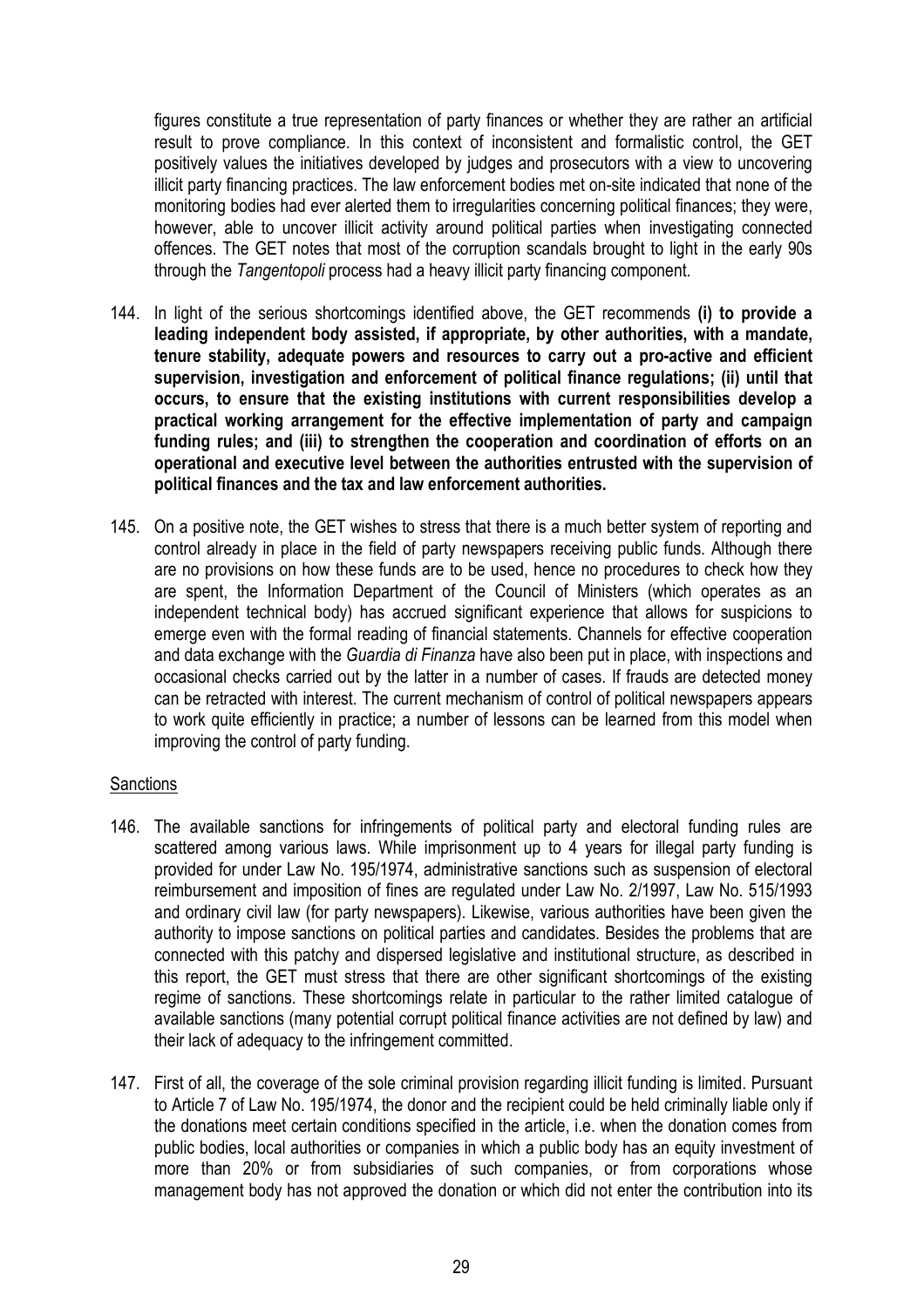figures constitute a true representation of party finances or whether they are rather an artificial result to prove compliance. In this context of inconsistent and formalistic control, the GET positively values the initiatives developed by judges and prosecutors with a view to uncovering illicit party financing practices. The law enforcement bodies met on-site indicated that none of the monitoring bodies had ever alerted them to irregularities concerning political finances; they were, however, able to uncover illicit activity around political parties when investigating connected offences. The GET notes that most of the corruption scandals brought to light in the early 90s through the *Tangentopoli* process had a heavy illicit party financing component.

- 144. In light of the serious shortcomings identified above, the GET recommends **(i) to provide a leading independent body assisted, if appropriate, by other authorities, with a mandate, tenure stability, adequate powers and resources to carry out a pro-active and efficient supervision, investigation and enforcement of political finance regulations; (ii) until that occurs, to ensure that the existing institutions with current responsibilities develop a practical working arrangement for the effective implementation of party and campaign funding rules; and (iii) to strengthen the cooperation and coordination of efforts on an operational and executive level between the authorities entrusted with the supervision of political finances and the tax and law enforcement authorities.**
- 145. On a positive note, the GET wishes to stress that there is a much better system of reporting and control already in place in the field of party newspapers receiving public funds. Although there are no provisions on how these funds are to be used, hence no procedures to check how they are spent, the Information Department of the Council of Ministers (which operates as an independent technical body) has accrued significant experience that allows for suspicions to emerge even with the formal reading of financial statements. Channels for effective cooperation and data exchange with the *Guardia di Finanza* have also been put in place, with inspections and occasional checks carried out by the latter in a number of cases. If frauds are detected money can be retracted with interest. The current mechanism of control of political newspapers appears to work quite efficiently in practice; a number of lessons can be learned from this model when improving the control of party funding.

# **Sanctions**

- 146. The available sanctions for infringements of political party and electoral funding rules are scattered among various laws. While imprisonment up to 4 years for illegal party funding is provided for under Law No. 195/1974, administrative sanctions such as suspension of electoral reimbursement and imposition of fines are regulated under Law No. 2/1997, Law No. 515/1993 and ordinary civil law (for party newspapers). Likewise, various authorities have been given the authority to impose sanctions on political parties and candidates. Besides the problems that are connected with this patchy and dispersed legislative and institutional structure, as described in this report, the GET must stress that there are other significant shortcomings of the existing regime of sanctions. These shortcomings relate in particular to the rather limited catalogue of available sanctions (many potential corrupt political finance activities are not defined by law) and their lack of adequacy to the infringement committed.
- 147. First of all, the coverage of the sole criminal provision regarding illicit funding is limited. Pursuant to Article 7 of Law No. 195/1974, the donor and the recipient could be held criminally liable only if the donations meet certain conditions specified in the article, i.e. when the donation comes from public bodies, local authorities or companies in which a public body has an equity investment of more than 20% or from subsidiaries of such companies, or from corporations whose management body has not approved the donation or which did not enter the contribution into its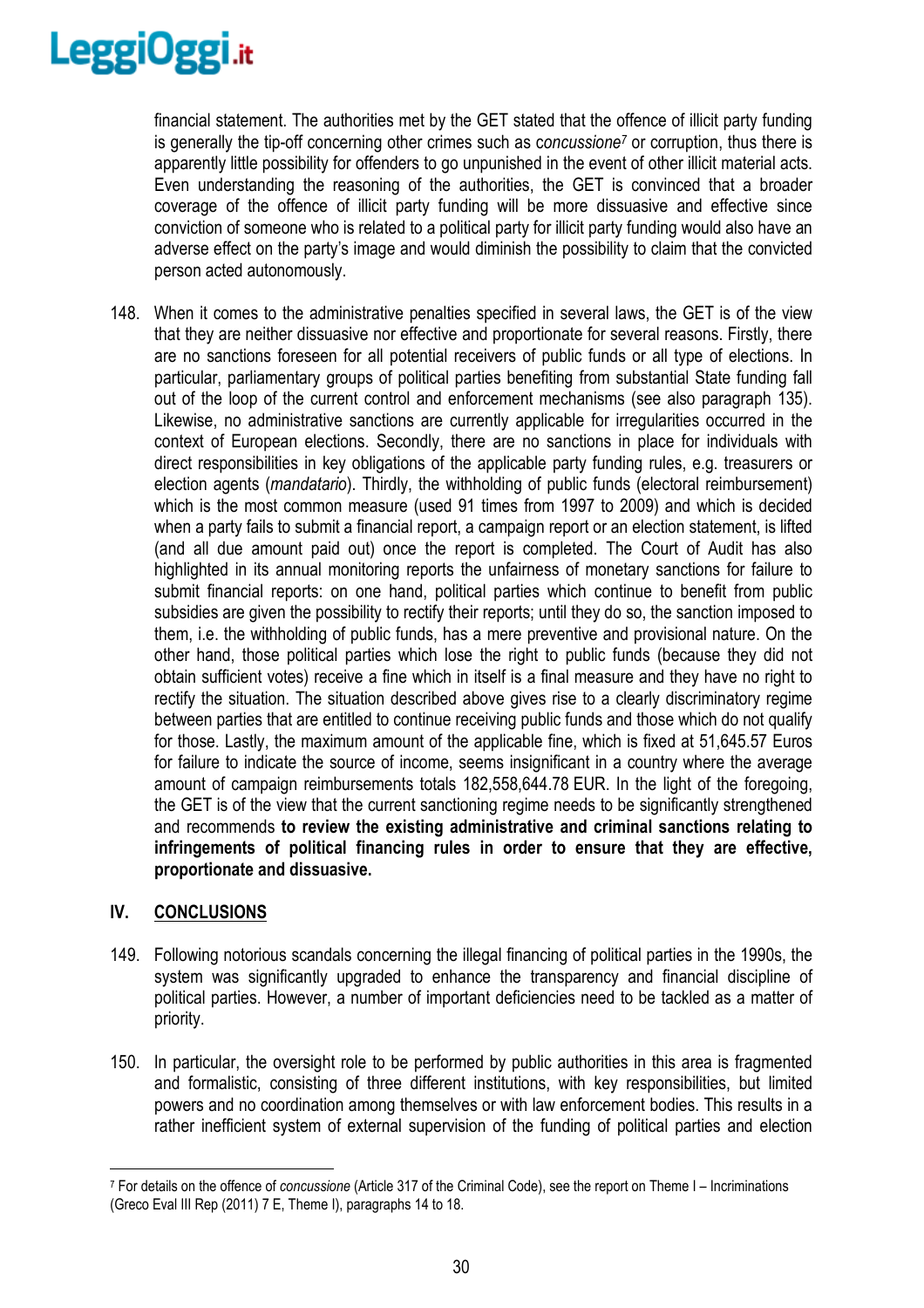

financial statement. The authorities met by the GET stated that the offence of illicit party funding is generally the tip-off concerning other crimes such as concussione<sup>7</sup> or corruption, thus there is apparently little possibility for offenders to go unpunished in the event of other illicit material acts. Even understanding the reasoning of the authorities, the GET is convinced that a broader coverage of the offence of illicit party funding will be more dissuasive and effective since conviction of someone who is related to a political party for illicit party funding would also have an adverse effect on the party's image and would diminish the possibility to claim that the convicted person acted autonomously.

148. When it comes to the administrative penalties specified in several laws, the GET is of the view that they are neither dissuasive nor effective and proportionate for several reasons. Firstly, there are no sanctions foreseen for all potential receivers of public funds or all type of elections. In particular, parliamentary groups of political parties benefiting from substantial State funding fall out of the loop of the current control and enforcement mechanisms (see also paragraph 135). Likewise, no administrative sanctions are currently applicable for irregularities occurred in the context of European elections. Secondly, there are no sanctions in place for individuals with direct responsibilities in key obligations of the applicable party funding rules, e.g. treasurers or election agents (*mandatario*). Thirdly, the withholding of public funds (electoral reimbursement) which is the most common measure (used 91 times from 1997 to 2009) and which is decided when a party fails to submit a financial report, a campaign report or an election statement, is lifted (and all due amount paid out) once the report is completed. The Court of Audit has also highlighted in its annual monitoring reports the unfairness of monetary sanctions for failure to submit financial reports: on one hand, political parties which continue to benefit from public subsidies are given the possibility to rectify their reports; until they do so, the sanction imposed to them, i.e. the withholding of public funds, has a mere preventive and provisional nature. On the other hand, those political parties which lose the right to public funds (because they did not obtain sufficient votes) receive a fine which in itself is a final measure and they have no right to rectify the situation. The situation described above gives rise to a clearly discriminatory regime between parties that are entitled to continue receiving public funds and those which do not qualify for those. Lastly, the maximum amount of the applicable fine, which is fixed at 51,645.57 Euros for failure to indicate the source of income, seems insignificant in a country where the average amount of campaign reimbursements totals 182,558,644.78 EUR. In the light of the foregoing, the GET is of the view that the current sanctioning regime needs to be significantly strengthened and recommends **to review the existing administrative and criminal sanctions relating to infringements of political financing rules in order to ensure that they are effective, proportionate and dissuasive.** 

# **IV. CONCLUSIONS**

- 149. Following notorious scandals concerning the illegal financing of political parties in the 1990s, the system was significantly upgraded to enhance the transparency and financial discipline of political parties. However, a number of important deficiencies need to be tackled as a matter of priority.
- 150. In particular, the oversight role to be performed by public authorities in this area is fragmented and formalistic, consisting of three different institutions, with key responsibilities, but limited powers and no coordination among themselves or with law enforcement bodies. This results in a rather inefficient system of external supervision of the funding of political parties and election

 $\overline{a}$ 7 For details on the offence of *concussione* (Article 317 of the Criminal Code), see the report on Theme I – Incriminations (Greco Eval III Rep (2011) 7 E, Theme I), paragraphs 14 to 18.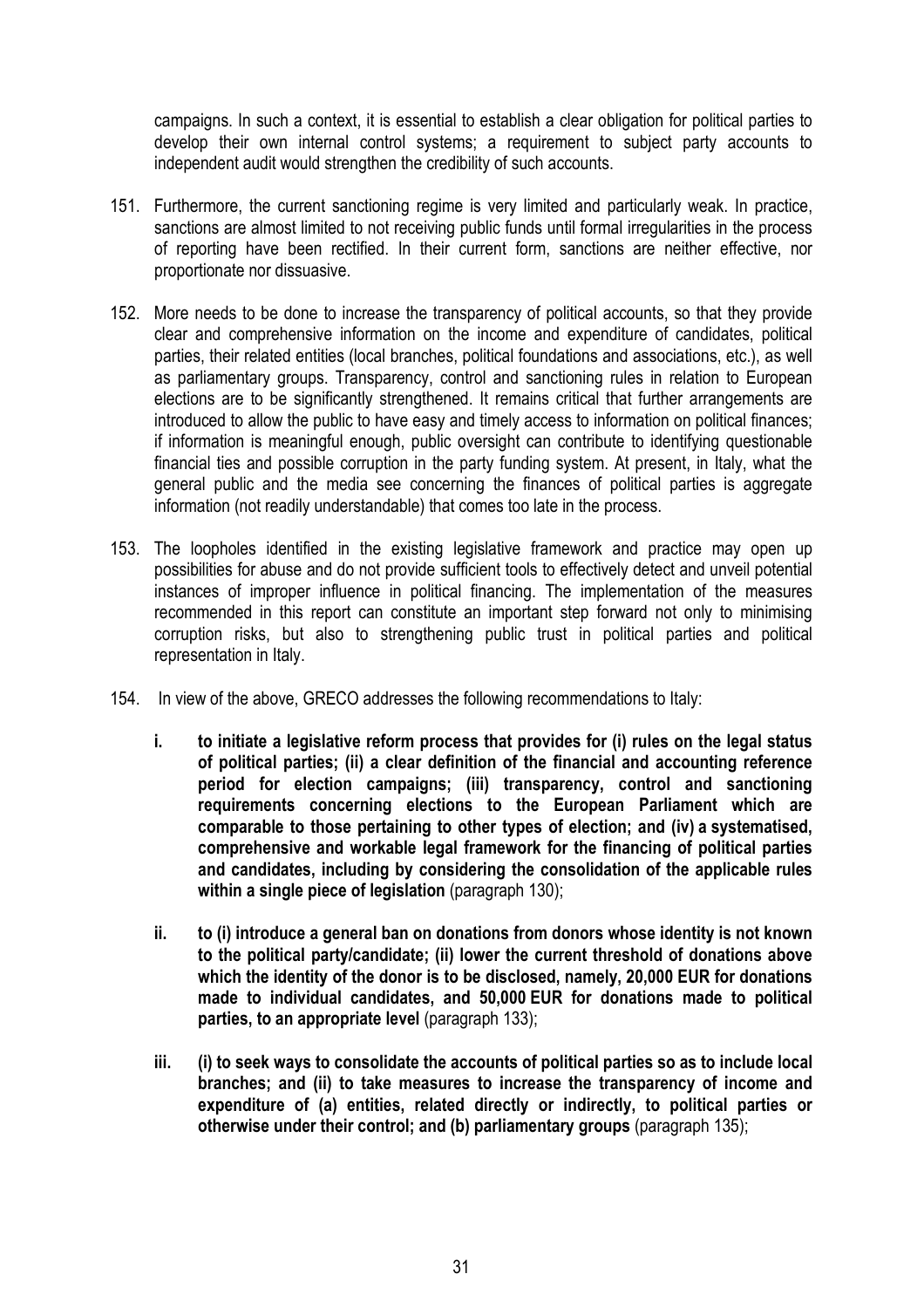campaigns. In such a context, it is essential to establish a clear obligation for political parties to develop their own internal control systems; a requirement to subject party accounts to independent audit would strengthen the credibility of such accounts.

- 151. Furthermore, the current sanctioning regime is very limited and particularly weak. In practice, sanctions are almost limited to not receiving public funds until formal irregularities in the process of reporting have been rectified. In their current form, sanctions are neither effective, nor proportionate nor dissuasive.
- 152. More needs to be done to increase the transparency of political accounts, so that they provide clear and comprehensive information on the income and expenditure of candidates, political parties, their related entities (local branches, political foundations and associations, etc.), as well as parliamentary groups. Transparency, control and sanctioning rules in relation to European elections are to be significantly strengthened. It remains critical that further arrangements are introduced to allow the public to have easy and timely access to information on political finances; if information is meaningful enough, public oversight can contribute to identifying questionable financial ties and possible corruption in the party funding system. At present, in Italy, what the general public and the media see concerning the finances of political parties is aggregate information (not readily understandable) that comes too late in the process.
- 153. The loopholes identified in the existing legislative framework and practice may open up possibilities for abuse and do not provide sufficient tools to effectively detect and unveil potential instances of improper influence in political financing. The implementation of the measures recommended in this report can constitute an important step forward not only to minimising corruption risks, but also to strengthening public trust in political parties and political representation in Italy.
- 154. In view of the above, GRECO addresses the following recommendations to Italy:
	- **i. to initiate a legislative reform process that provides for (i) rules on the legal status of political parties; (ii) a clear definition of the financial and accounting reference period for election campaigns; (iii) transparency, control and sanctioning requirements concerning elections to the European Parliament which are comparable to those pertaining to other types of election; and (iv) a systematised, comprehensive and workable legal framework for the financing of political parties and candidates, including by considering the consolidation of the applicable rules within a single piece of legislation** (paragraph 130);
	- **ii. to (i) introduce a general ban on donations from donors whose identity is not known to the political party/candidate; (ii) lower the current threshold of donations above which the identity of the donor is to be disclosed, namely, 20,000 EUR for donations made to individual candidates, and 50,000 EUR for donations made to political parties, to an appropriate level** (paragraph 133);
	- **iii. (i) to seek ways to consolidate the accounts of political parties so as to include local branches; and (ii) to take measures to increase the transparency of income and expenditure of (a) entities, related directly or indirectly, to political parties or otherwise under their control; and (b) parliamentary groups** (paragraph 135);